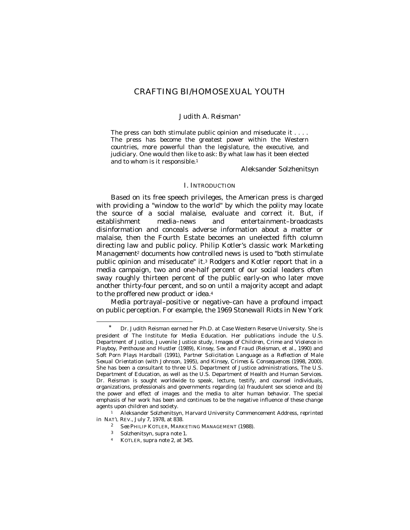# CRAFTING BI/HOMOSEXUAL YOUTH

### *Judith A. Reisman*<sup>∗</sup>

The press can both stimulate public opinion and miseducate it . . . . The press has become the greatest power within the Western countries, more powerful than the legislature, the executive, and judiciary. One would then like to ask: By what law has it been elected and to whom is it responsible.<sup>1</sup>

Aleksander Solzhenitsyn

#### I. INTRODUCTION

Based on its free speech privileges, the American press is charged with providing a "window to the world" by which the polity may locate the source of a social malaise, evaluate and correct it. But, if establishment media–news and entertainment–broadcasts disinformation and conceals adverse information about a matter or malaise, then the Fourth Estate becomes an unelected fifth column directing law and public policy. Philip Kotler's classic work *Marketing Management*2 documents how controlled news is used to "both stimulate public opinion and miseducate" it.3 Rodgers and Kotler report that in a media campaign, two and one-half percent of our social leaders often sway roughly thirteen percent of the public early-on who later move another thirty-four percent, and so on until a majority accept and adapt to the proffered new product or idea.<sup>4</sup>

Media portrayal–positive or negative–can have a profound impact on public perception. For example, the 1969 Stonewall Riots in New York

Dr. Judith Reisman earned her Ph.D. at Case Western Reserve University. She is president of The Institute for Media Education. Her publications include the U.S. Department of Justice, Juvenile Justice study*, Images of Children, Crime and Violence in Playboy, Penthouse and Hustler* (1989), *Kinsey, Sex and Fraud* (Reisman, et al., 1990) and *Soft Porn Plays Hardball* (1991), *Partner Solicitation Language as a Reflection of Male Sexual Orientation* (with Johnson, 1995), and *Kinsey, Crimes & Consequences* (1998, 2000). She has been a consultant to three U.S. Department of Justice administrations, The U.S. Department of Education, as well as the U.S. Department of Health and Human Services. Dr. Reisman is sought worldwide to speak, lecture, testify, and counsel individuals, organizations, professionals and governments regarding (a) fraudulent sex science and (b) the power and effect of images and the media to alter human behavior. The special emphasis of her work has been and continues to be the negative influence of these change agents upon children and society.

<sup>1</sup> Aleksander Solzhenitsyn, Harvard University Commencement Address, *reprinted in* NAT'L REV., July 7, 1978, at 838.

<sup>2</sup> *See* PHILIP KOTLER, MARKETING MANAGEMENT (1988).

<sup>3</sup> Solzhenitsyn, *supra* note 1.

<sup>4</sup> KOTLER, *supra* note 2, at 345.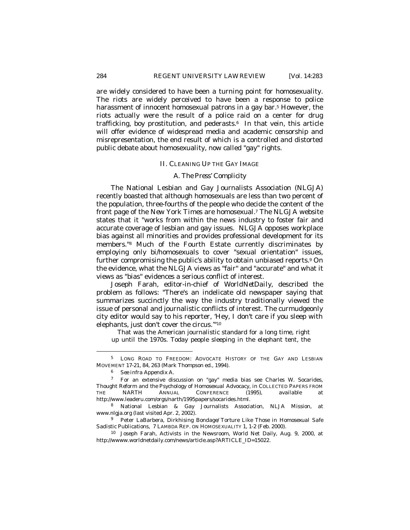are widely considered to have been a turning point for homosexuality. The riots are widely perceived to have been a response to police harassment of innocent homosexual patrons in a gay bar.<sup>5</sup> However, the riots actually were the result of a police raid on a center for drug trafficking, boy prostitution, and pederasts. $6$  In that vein, this article will offer evidence of widespread media and academic censorship and misrepresentation, the end result of which is a controlled and distorted public debate about homosexuality, now called "gay" rights.

#### II. CLEANING UP THE GAY IMAGE

# *A. The Press' Complicity*

The National Lesbian and Gay Journalists Association (NLGJA) recently boasted that although homosexuals are less than two percent of the population, three-fourths of the people who decide the content of the front page of the *New York Times* are homosexual.7 The NLGJA website states that it "works from within the news industry to foster fair and accurate coverage of lesbian and gay issues. NLGJA opposes workplace bias against all minorities and provides professional development for its members."8 Much of the Fourth Estate currently discriminates by employing only bi/homosexuals to cover "sexual orientation" issues, further compromising the public's ability to obtain unbiased reports.9 On the evidence, what the NLGJA views as "fair" and "accurate" and what it views as "bias" evidences a serious conflict of interest.

Joseph Farah, editor-in-chief of *WorldNetDaily,* described the problem as follows: "There's an indelicate old newspaper saying that summarizes succinctly the way the industry traditionally viewed the issue of personal and journalistic conflicts of interest. The curmudgeonly city editor would say to his reporter, 'Hey, I don't care if you sleep with elephants, just don't cover the circus.'"<sup>10</sup>

That was the American journalistic standard for a long time, right up until the 1970s. Today people sleeping in the elephant tent, the

<sup>5</sup> LONG ROAD TO FREEDOM: ADVOCATE HISTORY OF THE GAY AND LESBIAN MOVEMENT 17-21, 84, 263 (Mark Thompson ed., 1994).

<sup>6</sup> *See infra* Appendix A.

<sup>7</sup> For an extensive discussion on "gay" media bias see Charles W. Socarides, *Thought Reform and the Psychology of Homosexual Advocacy*, *in* COLLECTED PAPERS FROM THE NARTH ANNUAL CONFERENCE (1995), *available at* http://www.leaderu.com/orgs/narth/1995papers/socarides.html.

<sup>8</sup> National Lesbian & Gay Journalists Association, NLJA Mission, *at* www.nlgja.org (last visited Apr. 2, 2002).

<sup>9</sup> Peter LaBarbera, *Dirkhising Bondage/Torture Like Those in Homosexual Safe Sadistic Publications,* 7 LAMBDA REP. ON HOMOSEXUALITY 1, 1-2 (Feb. 2000).

<sup>10</sup> Joseph Farah, Activists in the Newsroom, World Net Daily, Aug. 9, 2000, at http://wwww.worldnetdaily.com/news/article.asp?ARTICLE\_ID=15022.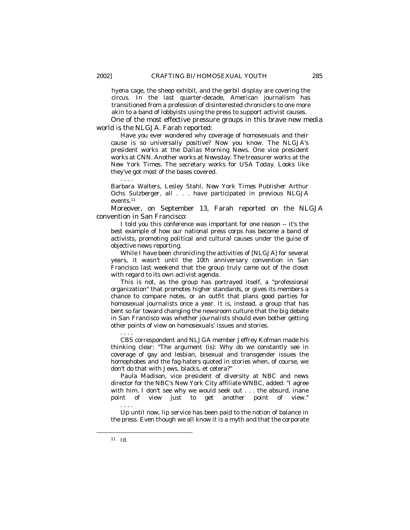hyena cage, the sheep exhibit, and the gerbil display are covering the circus. In the last quarter-decade, American journalism has transitioned from a profession of disinterested chroniclers to one more akin to a band of lobbyists using the press to support activist causes.

One of the most effective pressure groups in this brave new media world is the NLGJA. Farah reported:

Have you ever wondered why coverage of homosexuals and their cause is so universally positive? Now you know. The NLGJA's president works at the *Dallas Morning News*. One vice president works at *CNN*. Another works at *Newsday*. The treasurer works at the *New York Times*. The secretary works for *USA Today*. Looks like they've got most of the bases covered.

Barbara Walters, Lesley Stahl, *New York Times* Publisher Arthur Ochs Sulzberger, all . . . have participated in previous NLGJA events.<sup>11</sup>

Moreover, on September 13, Farah reported on the NLGJA convention in San Francisco:

I told you this conference was important for one reason -- it's the best example of how our national press corps has become a band of activists, promoting political and cultural causes under the guise of objective news reporting.

While I have been chronicling the activities of [NLGJA] for several years, it wasn't until the 10th anniversary convention in San Francisco last weekend that the group truly came out of the closet with regard to its own activist agenda.

This is not, as the group has portrayed itself, a "professional organization" that promotes higher standards, or gives its members a chance to compare notes, or an outfit that plans good parties for homosexual journalists once a year. It is, instead, a group that has bent so far toward changing the newsroom culture that the big debate in San Francisco was whether journalists should even bother getting other points of view on homosexuals' issues and stories.

. . . . CBS correspondent and NLJGA member Jeffrey Kofman made his thinking clear: "The argument (is): Why do we constantly see in coverage of gay and lesbian, bisexual and transgender issues the homophobes and the fag-haters quoted in stories when, of course, we don't do that with Jews, blacks, et cetera?"

Paula Madison, vice president of diversity at NBC and news director for the NBC's New York City affiliate WNBC, added: "I agree with him. I don't see why we would seek out . . . the absurd, inane point of view just to get another point of view." . . . .

Up until now, lip service has been paid to the notion of balance in the press. Even though we all know it is a myth and that the corporate

-

. . . .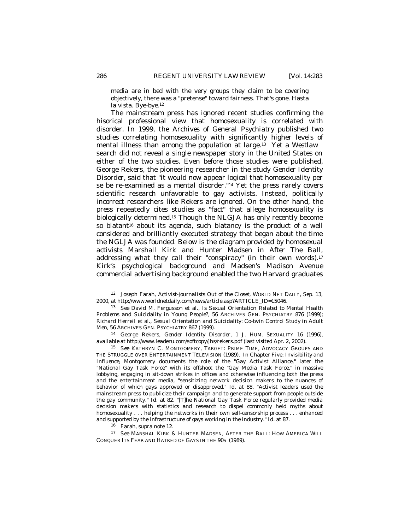media are in bed with the very groups they claim to be covering objectively, there was a "pretense" toward fairness. That's gone. Hasta la vista. Bye-bye.<sup>12</sup>

The mainstream press has ignored recent studies confirming the hisorical professional view that homosexuality is correlated with disorder. In 1999, the *Archives of General Psychiatry* published two studies correlating homosexuality with significantly higher levels of mental illness than among the population at large.13 Yet a *Westlaw* search did not reveal a single newspaper story in the United States on either of the two studies. Even before those studies were published, George Rekers, the pioneering researcher in the study *Gender Identity Disorder*, said that "it would now appear logical that homosexuality per se be re-examined as a mental disorder."14 Yet the press rarely covers scientific research unfavorable to gay activists. Instead, politically incorrect researchers like Rekers are ignored. On the other hand, the press repeatedly cites studies as "fact" that allege homosexuality is biologically determined.<sup>15</sup> Though the NLGJA has only recently become so blatant<sup>16</sup> about its agenda, such blatancy is the product of a well considered and brilliantly executed strategy that began about the time the NGLJA was founded. Below is the diagram provided by homosexual activists Marshall Kirk and Hunter Madsen in *After The Ball*, addressing what they call their "conspiracy" (in their own words).<sup>17</sup> Kirk's psychological background and Madsen's Madison Avenue commercial advertising background enabled the two Harvard graduates

<sup>17</sup> *See* MARSHAL KIRK & HUNTER MADSEN, AFTER THE BALL: HOW AMERICA WILL CONQUER ITS FEAR AND HATRED OF GAYS IN THE 90S (1989).

<sup>12</sup> Joseph Farah, *Activist-journalists Out of the Closet*, WORLD NET DAILY, Sep. 13, 2000, *at* http://www.worldnetdaily.com/news/article.asp?ARTICLE\_ID=15046*.*

<sup>13</sup> *See* David M. Fergusson et al., *Is Sexual Orientation Related to Mental Health Problems and Suicidality in Young People?*, 56 ARCHIVES GEN. PSYCHIATRY 876 (1999); Richard Herrell et al., *Sexual Orientation and Suicidality*: *Co-twin Control Study in Adult Men*, 56 ARCHIVES GEN. PSYCHIATRY 867 (1999).

<sup>14</sup> George Rekers, *Gender Identity Disorder*, 1 J. HUM. SEXUALITY 16 (1996), *available at* http://www.leaderu.com/softcopy/jhs/rekers.pdf (last visited Apr. 2, 2002).

<sup>15</sup> *See* KATHRYN C. MONTGOMERY, TARGET: PRIME TIME, ADVOCACY GROUPS AND THE STRUGGLE OVER ENTERTAINMENT TELEVISION (1989). In Chapter Five: *Invisibility and Influence,* Montgomery documents the role of the "Gay Activist Alliance," later the "National Gay Task Force" with its offshoot the "Gay Media Task Force," in massive lobbying, engaging in sit-down strikes in offices and otherwise influencing both the press and the entertainment media, "sensitizing network decision makers to the nuances of behavior of which gays approved or disapproved." *Id.* at 88. "Activist leaders used the mainstream press to publicize their campaign and to generate support from people outside the gay community." *Id.* at 82. "[T]he National Gay Task Force regularly provided media decision makers with statistics and research to dispel commonly held myths about homosexuality . . . helping the networks in their own self-censorship process . . . enhanced and supported by the infrastructure of gays working in the industry." *Id.* at 87.

<sup>16</sup> Farah, *supra* note 12.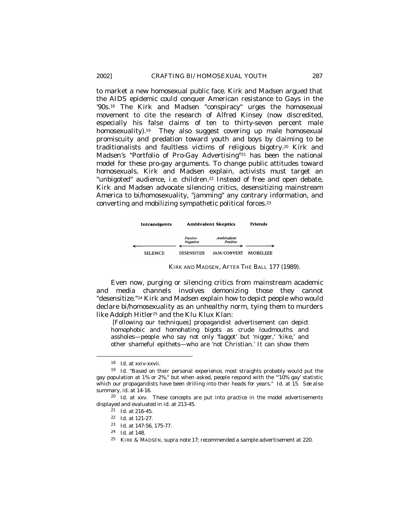to market a new homosexual public face. Kirk and Madsen argued that the AIDS epidemic *could* conquer American resistance to Gays in the '90s.<sup>18</sup> The Kirk and Madsen "conspiracy" urges the homosexual movement to cite the research of Alfred Kinsey (now discredited, especially his false claims of ten to thirty-seven percent male homosexuality).<sup>19</sup> They also suggest covering up male homosexual promiscuity and predation toward youth and boys by claiming to be traditionalists and faultless victims of religious bigotry.20 Kirk and Madsen's "Portfolio of Pro-Gay Advertising"21 has been the national model for these pro-gay arguments. To change public attitudes toward homosexuals, Kirk and Madsen explain, activists must target an "unbigoted" audience, i.e. children.<sup>22</sup> Instead of free and open debate, Kirk and Madsen advocate silencing critics, desensitizing mainstream America to bi/homosexuality, "jamming" any contrary information, and converting and mobilizing sympathetic political forces.<sup>23</sup>

| Intransigents  | <b>Ambivalent Skeptics</b> |                         | <b>Friends</b>  |
|----------------|----------------------------|-------------------------|-----------------|
|                | Passive-<br>Negative       | Ambivalent-<br>Positive |                 |
| <b>SILENCE</b> | <b>DESENSITIZE</b>         | <b>JAM/CONVERT</b>      | <b>MOBILIZE</b> |

KIRK AND MADSEN, AFTER THE BALL 177 (1989).

Even now, purging or silencing critics from mainstream academic and media channels involves demonizing those they cannot "desensitize."24 Kirk and Madsen explain how to depict people who would declare bi/homosexuality as an unhealthy norm, tying them to murders like Adolph Hitler<sup>25</sup> and the Klu Klux Klan:

 [Following our techniques] propagandist advertisement can depict homophobic and homohating bigots as crude loudmouths and assholes—people who say not only 'faggot' but 'nigger,' 'kike,' and other shameful epithets—who are 'not Christian.' It can show them

<sup>18</sup> *Id.* at xxiv-xxvii.

<sup>19</sup> *Id.* "Based on their personal experience, most straights probably would put the gay population at 1% or 2%," but when asked, people respond with the "'10% gay' statistic which our propagandists have been drilling into their heads for years." *Id*. at 15. *See also* summary, *id*. at 14-16.

<sup>&</sup>lt;sup>20</sup> *Id.* at xxv. These concepts are put into practice in the model advertisements displayed and evaluated in *id*. at 213-45.

<sup>21</sup> *Id.* at 216-45.

<sup>22</sup> *Id.* at 121-27.

<sup>23</sup> *Id*. at 147-56, 175-77.

<sup>24</sup> *Id*. at 148.

<sup>25</sup> KIRK & MADSEN, *supra* note 17; recommended a sample advertisement at 220.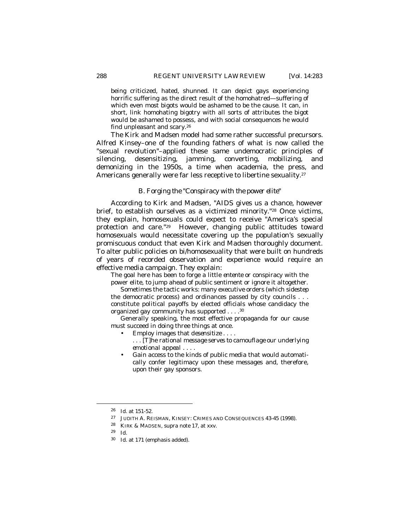being criticized, hated, shunned. It can depict gays experiencing horrific suffering as the direct result of the homohatred—suffering of which even most bigots would be ashamed to be the cause. It can, in short, link homohating bigotry with all sorts of attributes the bigot would be ashamed to possess, and with social consequences he would find unpleasant and scary.<sup>26</sup>

The Kirk and Madsen model had some rather successful precursors. Alfred Kinsey–one of the founding fathers of what is now called the "sexual revolution"–applied these same undemocratic principles of silencing, desensitizing, jamming, converting, mobilizing, and demonizing in the 1950s, a time when academia, the press, and Americans generally were far less receptive to libertine sexuality.<sup>27</sup>

# *B. Forging the "Conspiracy with the power elite"*

According to Kirk and Madsen, "AIDS gives us a chance, however brief, to establish ourselves as a victimized minority."<sup>28</sup> Once victims, they explain, homosexuals could expect to receive "America's special protection and care."29 However, changing public attitudes toward homosexuals would necessitate covering up the population's sexually promiscuous conduct that even Kirk and Madsen thoroughly document. To alter public policies on bi/homosexuality that were built on hundreds of years of recorded observation and experience would require an effective media campaign. They explain:

The goal here has been to forge a little *entente* or conspiracy with the power elite, to jump ahead of public sentiment or ignore it altogether.

Sometimes the tactic works: many executive orders (which sidestep the democratic process) and ordinances passed by city councils . . . constitute *political payoffs* by elected officials whose candidacy the organized gay community has supported . . . .<sup>30</sup>

Generally speaking, the most effective propaganda for our cause must succeed in doing three things at once.

- Employ images that *desensitize* . . . .
	- . . . [T]he *rational message serves to camouflage our underlying emotional appeal* . . . .
- Gain access to the kinds of public media that would automatically confer legitimacy upon these messages and, therefore, upon their gay sponsors.

<sup>26</sup> *Id*. at 151-52.

<sup>27</sup>JUDITH A. REISMAN, KINSEY: CRIMES AND CONSEQUENCES 43-45 (1998).

<sup>28</sup> KIRK & MADSEN, *supra* note 17, at xxv.

<sup>29</sup> *Id.*

<sup>30</sup> *Id.* at 171 (emphasis added).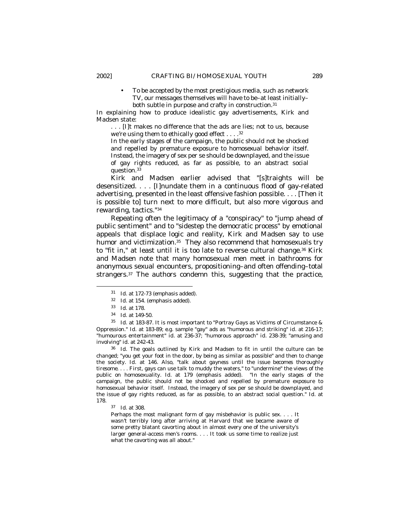• To be accepted by the most prestigious media, such as network TV, our messages themselves will have to be–at least initially– both subtle in purpose and crafty in construction.<sup>31</sup>

In explaining how to produce idealistic gay advertisements, Kirk and Madsen state:

. . . [I]t makes no difference that the ads are lies; not to us, because we're using them to ethically good effect  $\dots$ .<sup>32</sup>

In the early stages of the campaign, the public should not be shocked and repelled by premature exposure to homo*sexual* behavior itself. Instead, the imagery of sex per se should be downplayed, and the issue of gay rights reduced, as far as possible, to an abstract social question.<sup>33</sup>

Kirk and Madsen earlier advised that "[s]traights will be desensitized. . . . [I]nundate them in a continuous flood of gay-related advertising, presented in the least offensive fashion possible. . . . [Then it is possible to] turn next to more difficult, but also more vigorous and rewarding, tactics."<sup>34</sup>

Repeating often the legitimacy of a "conspiracy" to "jump ahead of public sentiment" and to "sidestep the democratic process" by emotional appeals that displace logic and reality, Kirk and Madsen say to use humor and victimization.<sup>35</sup> They also recommend that homosexuals try to "fit in," at least until it is too late to reverse cultural change.36 Kirk and Madsen note that many homosexual men meet in bathrooms for anonymous sexual encounters, propositioning–and often offending–total strangers.37 The authors condemn this, suggesting that the practice,

 $\overline{a}$ 

<sup>35</sup> *Id.* at 183-87. It is most important to "Portray Gays as Victims of Circumstance & Oppression." *Id.* at 183-89; *e.g.* sample "gay" ads as "humorous and striking" *id.* at 216-17; "humourous entertainment" *id.* at 236-37; "humorous approach" *id*. 238-39; "amusing and involving" *id*. at 242-43.

<sup>36</sup> *Id*. The goals outlined by Kirk and Madsen to fit in until the culture can be changed; "you get your foot in the door, by being as similar as possible" and then to change the society. *Id*. at 146. Also, "talk *about gayness until the issue becomes thoroughly tiresome*. . . . First, gays can use talk to muddy the waters," to "undermine" the views of the public on homosexuality. *Id.* at 179 (emphasis added). "In the early stages of the campaign, the public should not be shocked and repelled by premature exposure to homosexual behavior itself. Instead, the imagery of sex per se should be downplayed, and the issue of gay rights reduced, as far as possible, to an abstract social question." *Id.* at 178.

<sup>37</sup> *Id*. at 308.

Perhaps the most malignant form of gay misbehavior is public sex. . . . It wasn't terribly long after arriving at Harvard that we became aware of some pretty blatant cavorting about in almost every one of the university's larger general-access men's rooms. . . . It took us some time to realize just what the cavorting was all about."

<sup>31</sup> *Id*. at 172-73 (emphasis added).

<sup>32</sup> *Id.* at 154. (emphasis added).

<sup>33</sup> *Id.* at 178.

<sup>34</sup> *Id*. at 149-50.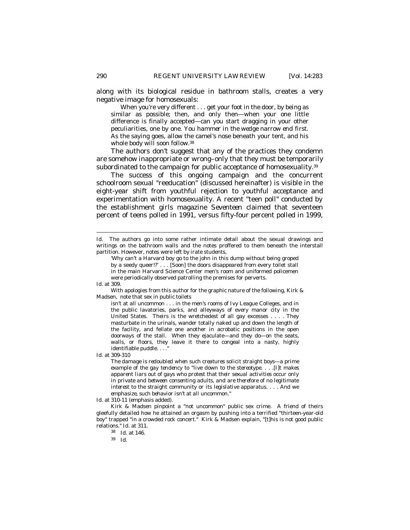along with its biological residue in bathroom stalls, creates a very negative image for homosexuals:

When you're very different . . . get your foot in the door, by being as similar as possible; then, and only then—when your one little difference is finally accepted—can you start dragging in your other peculiarities, one by one. *You hammer in the wedge narrow end first.*  As the saying goes, allow the camel's nose beneath your tent, and his whole body will soon follow.<sup>38</sup>

The authors don't suggest that any of the practices they condemn are somehow inappropriate or wrong–only that they must be temporarily subordinated to the campaign for public acceptance of homosexuality.<sup>39</sup>

The success of this ongoing campaign and the concurrent schoolroom sexual "reeducation" (discussed hereinafter) is visible in the eight-year shift from youthful rejection to youthful acceptance and experimentation with homosexuality. A recent "teen poll" conducted by the establishment girls magazine *Seventeen* claimed that seventeen percent of teens polled in 1991, versus fifty-four percent polled in 1999,

 $\overline{a}$ 

With apologies from this author for the graphic nature of the following, Kirk & Madsen, note that sex in public toilets

isn't at all uncommon . . . in the men's rooms of Ivy League Colleges, and in the public lavatories, parks, and alleyways of every manor city in the United States. Theirs is the wretchedest of all gay excesses . . . . They masturbate in the urinals, wander totally naked up and down the length of the facility, and fellate one another in acrobatic positions in the open doorways of the stall. When they ejaculate—and they do—on the seats, walls, or floors, they leave it there to congeal into a nasty, highly identifiable puddle. . . . "

*Id*. at 309-310

*The damage is redoubled when such creatures solicit straight boys—a prime example of the gay tendency to "live down to the stereotype. . . .[I]t makes apparent liars out of gays who protest that their sexual activities occur only in private and between consenting adults, and are therefore of no legitimate interest to the straight community or its legislative apparatus. . .* . *And we emphasize, such behavior isn't at all uncommon."* 

*Id.* at 310-11 (emphasis added)*.*

Kirk & Madsen pinpoint a "not uncommon" public sex crime. A friend of theirs gleefully detailed how he attained an orgasm by pushing into a terrified "thirteen-year-old boy" trapped "in a crowded rock concert." Kirk & Madsen explain, "[t]his is not good public relations." *Id*. at 311.

<sup>39</sup> *Id*.

*Id*. The authors go into some rather intimate detail about the sexual drawings and writings on the bathroom walls and the notes proffered to them beneath the interstall partition. However, notes were left by irate students,

<sup>&#</sup>x27;Why can't a Harvard boy go to the john in this dump without being groped by a seedy queer!?' . . . [Soon] the doors disappeared from every toilet stall in the main Harvard Science Center men's room and uniformed policemen were periodically observed patrolling the premises for perverts.

*Id*. at 309.

<sup>38</sup> *Id*. at 146.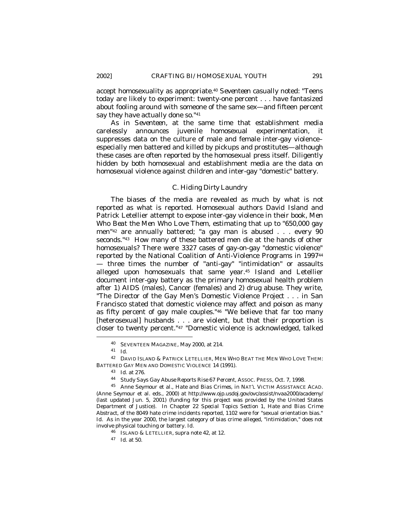accept homosexuality as appropriate.<sup>40</sup> *Seventeen* casually noted: "Teens today are likely to experiment: twenty-one percent . . . have fantasized about fooling around with someone of the same sex—and fifteen percent say they have actually done so."<sup>41</sup>

As in *Seventeen*, at the same time that establishment media carelessly announces juvenile homosexual experimentation, it suppresses data on the culture of male and female inter-gay violence– especially men battered and killed by pickups and prostitutes—although these cases are often reported by the homosexual press itself. Diligently hidden by *both* homosexual *and* establishment media are the data on homosexual violence against children and inter-gay "domestic" battery.

# *C. Hiding Dirty Laundry*

The biases of the media are revealed as much by what is *not* reported as what is reported. Homosexual authors David Island and Patrick Letellier attempt to expose inter-gay violence in their book, *Men Who Beat the Men Who Love Them,* estimating that up to "650,000 gay men"42 are annually battered; "a gay man is abused . . . every 90 seconds."43 How many of these battered men die at the hands of other homosexuals? There were 3327 cases of gay-on-gay "domestic violence" reported by the National Coalition of Anti-Violence Programs in 1997<sup>44</sup> — three times the number of "anti-gay" "intimidation" or assaults alleged upon homosexuals that same year.45 Island and Letellier document inter-gay battery as the primary homosexual health problem after 1) AIDS (males), Cancer (females) and 2) drug abuse. They write, "The Director of the Gay Men's Domestic Violence Project . . . in San Francisco stated that domestic violence may affect and poison as many as fifty percent of gay male couples."46 "We believe that far too many [heterosexual] husbands . . . are violent, but that their proportion is closer to twenty percent."47 "Domestic violence is acknowledged, talked

<sup>40</sup> SEVENTEEN MAGAZINE, May 2000, at 214.

<sup>41</sup> *Id*.

<sup>42</sup> DAVID ISLAND & PATRICK LETELLIER*,* MEN WHO BEAT THE MEN WHO LOVE THEM: BATTERED GAY MEN AND DOMESTIC VIOLENCE 14 (1991).

<sup>43</sup> *Id.* at 276.

<sup>44</sup> *Study Says Gay Abuse Reports Rise 67 Percent*, ASSOC. PRESS, Oct. 7, 1998.

<sup>45</sup> Anne Seymour et al., *Hate and Bias Crimes*, *in* NAT'L VICTIM ASSISTANCE ACAD. (Anne Seymour et al. eds., 2000) *at* http://www.ojp.usdoj.gov/ovc/assist/nvaa2000/academy/ (last updated Jun. 5, 2001) (funding for this project was provided by the United States Department of Justice). In Chapter 22 *Special Topics Section 1, Hate and Bias Crime Abstract*, of the 8049 hate crime incidents reported, 1102 were for "sexual orientation bias." Id. As in the year 2000, the largest category of bias crime alleged, "intimidation," does not involve physical touching or battery. *Id*.

<sup>46</sup> ISLAND & LETELLIER, *supra* note 42, at 12.

<sup>47</sup> *Id*. at 50.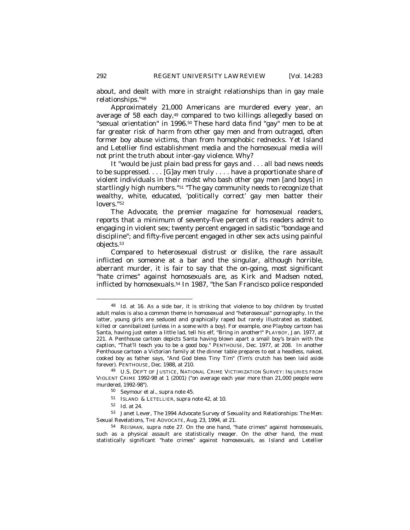about, and dealt with more in straight relationships than in gay male relationships."<sup>48</sup>

Approximately 21,000 Americans are murdered every year, an average of 58 each day,49 compared to two killings allegedly based on "sexual orientation" in 1996.<sup>50</sup> These hard data find "gay" men to be at *far* greater risk of harm from other gay men and from outraged, often former boy abuse victims, than from homophobic rednecks. Yet Island and Letellier find establishment media and the homosexual media will not print the truth about inter-gay violence. Why?

It "would be just plain bad press for gays and . . . all bad news needs to be suppressed. . . . [G]ay men truly . . . . have a proportionate share of violent individuals in their midst who bash other gay men [and boys] in startlingly high numbers."51 "The gay community needs to recognize that wealthy, white, educated, 'politically correct' gay men batter their lovers."<sup>52</sup>

*The Advocate*, the premier magazine for homosexual readers*,* reports that *a minimum* of seventy-five percent of its readers admit to engaging in violent sex; twenty percent engaged in sadistic "bondage and discipline"; and fifty-five percent engaged in other sex acts using painful objects.<sup>53</sup>

Compared to heterosexual distrust or dislike, the rare assault inflicted on someone at a bar and the singular, although horrible, aberrant murder, it is fair to say that the on-going, most significant "hate crimes" against homosexuals are, as Kirk and Madsen noted, inflicted by homosexuals.54 In 1987, "the San Francisco police responded

<sup>48</sup> *Id*. at 16. As a side bar, it is striking that violence to boy children by trusted adult males is also a common theme in homosexual and "heterosexual" pornography. In the latter, young girls are seduced and graphically raped but rarely illustrated as stabbed, killed or cannibalized (*unless in a scene with a boy*). For example, one Playboy cartoon has Santa, having just eaten a little lad, tell his elf, "Bring in another!" PLAYBOY, Jan. 1977, at 221. A Penthouse cartoon depicts Santa having blown apart a small boy's brain with the caption, "That'll teach you to be a good boy." PENTHOUSE, Dec. 1977, at 208. In another Penthouse cartoon a Victorian family at the dinner table prepares to eat a headless, naked, cooked boy as father says, "And God bless Tiny Tim" (Tim's crutch has been laid aside forever). PENTHOUSE, Dec. 1988, at 210.

<sup>49</sup> U.S. DEP'T OF JUSTICE, NATIONAL CRIME VICTIMIZATION SURVEY: INJURIES FROM VIOLENT CRIME 1992-98 at 1 (2001) ("on average each year more than 21,000 people were murdered, 1992-98").

<sup>50</sup> Seymour et al., *supra* note 45.

<sup>51</sup> ISLAND & LETELLIER, *supra* note 42, at 10.

<sup>52</sup> *Id.* at 24.

<sup>53</sup> Janet Lever, *The 1994 Advocate Survey of Sexuality and Relationships: The Men: Sexual Revelations,* THE ADVOCATE, Aug. 23, 1994, at 21.

<sup>54</sup> REISMAN, *supra* note 27. On the one hand, "hate crimes" against homosexuals, such as a physical assault are statistically meager. On the other hand, the most statistically significant "hate crimes" against homosexuals, as Island and Letellier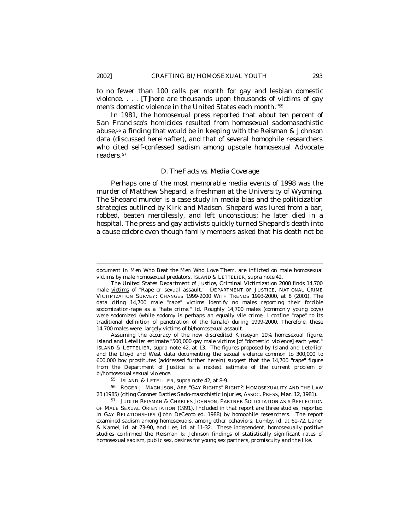to no fewer than 100 calls per month for gay and lesbian domestic violence. . . . [T]here are thousands upon thousands of victims of gay men's domestic violence in the United States each month."<sup>55</sup>

In 1981, the homosexual press reported that about *ten percent of San Francisco's homicides resulted from homosexual sadomasochistic abuse,*56 a finding that would be in keeping with the Reisman & Johnson data (discussed hereinafter), and that of several homophile researchers who cited self-confessed sadism among upscale homosexual *Advocate* readers.<sup>57</sup>

#### *D. The Facts vs. Media Coverage*

Perhaps one of the most memorable media events of 1998 was the murder of Matthew Shepard, a freshman at the University of Wyoming. The Shepard murder is a case study in media bias and the politicization strategies outlined by Kirk and Madsen. Shepard was lured from a bar, robbed, beaten mercilessly, and left unconscious; he later died in a hospital. The press and gay activists quickly turned Shepard's death into a *cause celebre* even though family members asked that his death not be

Assuming the accuracy of the now discredited Kinseyan 10% homosexual figure, Island and Letellier estimate "500,000 gay male victims [of "domestic" violence] each year." ISLAND & LETTELIER, *supra* note 42, at 13. The figures proposed by Island and Letellier and the Lloyd and West data documenting the sexual violence common to 300,000 to 600,000 boy prostitutes (addressed further herein) suggest that the 14,700 "rape" figure from the Department of Justice is a modest estimate of the current problem of bi/homosexual sexual violence.

<sup>55</sup> ISLAND & LETELLIER, *supra* note 42, at 8-9.

<sup>56</sup> ROGER J. MAGNUSON, ARE "GAY RIGHTS" RIGHT?: HOMOSEXUALITY AND THE LAW 23 (1985) (citing *Coroner Battles Sado-masochistic Injuries*, ASSOC. PRESS, Mar. 12, 1981).

<sup>57</sup> JUDITH REISMAN & CHARLES JOHNSON*,* PARTNER SOLICITATION AS A REFLECTION OF MALE SEXUAL ORIENTATION (1991). Included in that report are three studies, reported in GAY RELATIONSHIPS (John DeCecco ed. 1988) by homophile researchers. The report examined sadism among homosexuals, among other behaviors; Lumby, *id*. at 61-72, Laner & Kamel, *id*. at 73-90, and Lee, *id*. at 11-32. These independent, homosexually positive studies confirmed the Reisman & Johnson findings of statistically significant rates of homosexual sadism, public sex, desires for young sex partners, promiscuity and the like.

document in *Men Who Beat the Men Who Love Them,* are inflicted on male homosexual victims by male homosexual predators. ISLAND & LETTELIER, *supra* note 42.

The United States Department of Justice, *Criminal Victimization 2000* finds 14,700 male victims of "Rape or sexual assault."DEPARTMENT OF JUSTICE, NATIONAL CRIME VICTIMIZATION SURVEY: CHANGES 1999-2000 WITH TRENDS 1993-2000, at 8 (2001). The data citing  $14,700$  male "rape" victims identify  $\underline{no}$  males reporting their forcible sodomization-rape as a "hate crime." *Id*. Roughly 14,700 males (commonly young boys) were sodomized (while sodomy is perhaps an equally vile crime, I confine "rape" to its traditional definition of penetration of the female) during 1999-2000. Therefore, these 14,700 males were largely victims of bi/homosexual assault.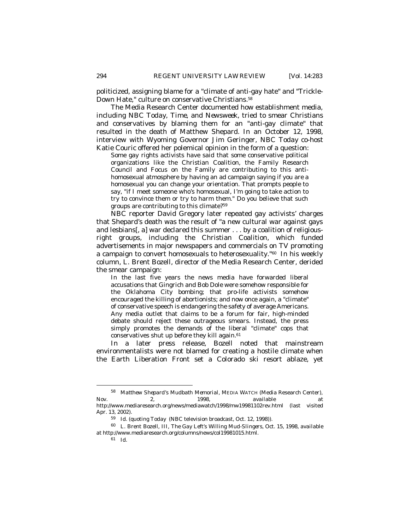politicized, assigning blame for a "climate of anti-gay hate" and "Trickle-Down Hate," culture on conservative Christians.<sup>58</sup>

The Media Research Center documented how establishment media, including *NBC Today*, *Time*, and *Newsweek*, tried to smear Christians and conservatives by blaming them for an "anti-gay climate" that resulted in the death of Matthew Shepard. In an October 12, 1998, interview with Wyoming Governor Jim Geringer, *NBC Today* co-host Katie Couric offered her polemical opinion in the form of a question:

Some gay rights activists have said that some conservative political organizations like the Christian Coalition, the Family Research Council and Focus on the Family are contributing to this antihomosexual atmosphere by having an ad campaign saying if you are a homosexual you can change your orientation. That prompts people to say, "if I meet someone who's homosexual, I'm going to take action to try to convince them or try to harm them." Do you believe that such groups are contributing to this climate?<sup>59</sup>

NBC reporter David Gregory later repeated gay activists' charges that Shepard's death was the result of "a new cultural war against gays and lesbians[, a] war declared this summer . . . by a coalition of religiousright groups, including the Christian Coalition, which funded advertisements in major newspapers and commercials on TV promoting a campaign to convert homosexuals to heterosexuality."60 In his weekly column, L. Brent Bozell, director of the Media Research Center, derided the smear campaign:

In the last five years the news media have forwarded liberal accusations that Gingrich and Bob Dole were somehow responsible for the Oklahoma City bombing; that pro-life activists somehow encouraged the killing of abortionists; and now once again, a "climate" of conservative speech is endangering the safety of average Americans. Any media outlet that claims to be a forum for fair, high-minded debate should reject these outrageous smears. Instead, the press simply promotes the demands of the liberal "climate" cops that conservatives shut up before they kill again.<sup>61</sup>

In a later press release, Bozell noted that mainstream environmentalists were not blamed for creating a hostile climate when the Earth Liberation Front set a Colorado ski resort ablaze, yet

<sup>58</sup> *Matthew Shepard's Mudbath Memorial*, MEDIA WATCH (Media Research Center), Nov. 2, 1998, *available at* http://www.mediaresearch.org/news/mediawatch/1998/mw19981102rev.html (last visited Apr. 13, 2002).

<sup>59</sup> *Id.* (quoting *Today* (NBC television broadcast, Oct. 12, 1998)).

<sup>60</sup> L. Brent Bozell, III, *The Gay Left's Willing Mud-Slingers*, Oct. 15, 1998, *available at* http://www.mediaresearch.org/columns/news/col19981015.html.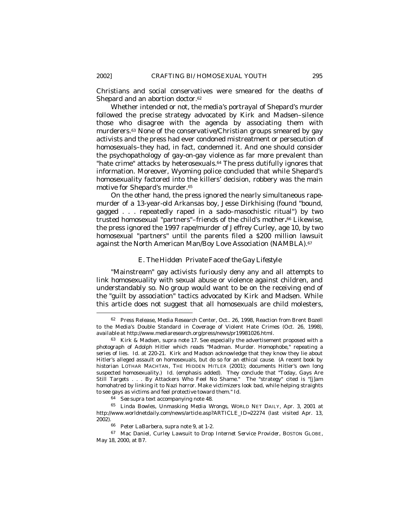Christians and social conservatives were smeared for the deaths of Shepard and an abortion doctor.<sup>62</sup>

Whether intended or not, the media's portrayal of Shepard's murder followed the precise strategy advocated by Kirk and Madsen–silence those who disagree with the agenda by associating them with murderers.63 None of the conservative/Christian groups smeared by gay activists and the press had ever condoned mistreatment or persecution of homosexuals–they had, in fact, condemned it. And one should consider the psychopathology of gay-on-gay violence as far more prevalent than "hate crime" attacks by heterosexuals.<sup>64</sup> The press dutifully ignores that information. Moreover, Wyoming police concluded that while Shepard's homosexuality factored into the killers' decision, robbery was the main motive for Shepard's murder.<sup>65</sup>

On the other hand, the press ignored the nearly simultaneous rapemurder of a 13-year-old Arkansas boy, Jesse Dirkhising (found "bound, gagged . . . repeatedly raped in a sado–masochistic ritual") by two trusted homosexual "partners"–friends of the child's mother**.** <sup>66</sup> Likewise, the press ignored the 1997 rape/murder of Jeffrey Curley, age 10, by two homosexual "partners" until the parents filed a \$200 million lawsuit against the North American Man/Boy Love Association (NAMBLA).<sup>67</sup>

# *E. The Hidden Private Face of the Gay Lifestyle*

"Mainstream" gay activists furiously deny any and all attempts to link homosexuality with sexual abuse or violence against children, and understandably so. No group would want to be on the receiving end of the "guilt by association" tactics advocated by Kirk and Madsen. While this article does not suggest that all homosexuals are child molesters,

<sup>62</sup> Press Release, Media Research Center, Oct.. 26, 1998, Reaction from Brent Bozell to the Media's Double Standard in Coverage of Violent Hate Crimes (Oct. 26, 1998), *available at* http://www.mediaresearch.org/press/news/pr19981026.html.

<sup>63</sup> Kirk & Madsen, *supra* note 17. See especially the advertisement proposed with a photograph of Adolph Hitler which reads "Madman. Murder. Homophobe," repeating a series of lies. *Id*. at 220-21. Kirk and Madson acknowledge that they know they lie about Hitler's alleged assault on homosexuals, but do so for an *ethical cause*. (A recent book by historian LOTHAR MACHTAN, THE HIDDEN HITLER (2001); documents Hitler's own long suspected homosexuality.) *Id*. (emphasis added). They conclude that "Today, Gays Are Still Targets . . . By Attackers Who Feel No Shame." The "strategy" cited is "[j]am homohatred by linking it to Nazi horror. Make victimizers look bad, while helping straights to see gays as victims and feel protective toward them." *Id*.

<sup>64</sup> *See supra* text accompanying note 48.

<sup>65</sup> Linda Bowles, *Unmasking Media Wrongs*, WORLD NET DAILY, Apr. 3, 2001 *at* http://www.worldnetdaily.com/news/article.asp?ARTICLE\_ID=22274 (last visited Apr. 13, 2002).

<sup>66</sup> Peter LaBarbera, *supra* note 9, at 1-2.

<sup>67</sup> Mac Daniel, *Curley Lawsuit to Drop Internet Service Provider*, BOSTON GLOBE, May 18, 2000, at B7.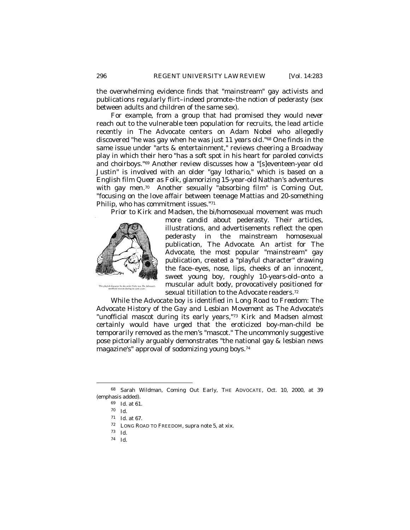the overwhelming evidence finds that "mainstream" gay activists and publications regularly flirt–indeed promote–the notion of pederasty (sex between adults and children of the same sex).

For example, from a group that had promised they would *never* reach out to the vulnerable teen population for recruits, the lead article recently in *The Advocate* centers on Adam Nobel who allegedly discovered "he was gay when he was *just 11 years old*."68 One finds in the same issue under "arts & entertainment," reviews cheering a Broadway play in which their hero "has a soft spot in his heart for paroled convicts and choirboys."69 Another review discusses how a "[s]eventeen-year old Justin" is involved with an older "gay lothario," which is based on a English film *Queer as Folk*, glamorizing 15-year-old Nathan's adventures with gay men.70 Another sexually "absorbing film" is *Coming Out, "focusing on the love affair* between teenage Mattias and 20-something Philip, who has commitment issues."<sup>71</sup>

Prior to Kirk and Madsen, the bi/homosexual movement was much



more candid about pederasty. Their articles, illustrations, and advertisements reflect the open pederasty in the mainstream homosexual publication, *The Advocate*. An artist for *The Advocate*, the most popular "mainstream" gay publication, created a "playful character" drawing the face–eyes, nose, lips, cheeks of an innocent, sweet young boy, roughly 10-years-old–onto a muscular adult body, provocatively positioned for sexual titillation to the *Advocate* readers.<sup>72</sup>

While the *Advocate* boy is identified in *Long Road to Freedom: The Advocate History of the Gay and Lesbian Movement* as *The Advocate's* "unofficial mascot during its early years,"73 Kirk and Madsen almost certainly would have urged that the eroticized boy-man-child be temporarily removed as the men's "mascot." The uncommonly suggestive pose pictorially arguably demonstrates "the national gay & lesbian news magazine's" approval of sodomizing young boys.<sup>74</sup>

<sup>68</sup> Sarah Wildman, *Coming Out* Early, THE ADVOCATE, Oct. 10, 2000, at 39 (emphasis added).

<sup>69</sup> *Id*. at 61.

<sup>70</sup> *Id*.

<sup>71</sup> *Id*. at 67.

<sup>72</sup> LONG ROAD TO FREEDOM, *supra* note 5, at xix.

<sup>73</sup> *Id*.

<sup>74</sup> *Id*.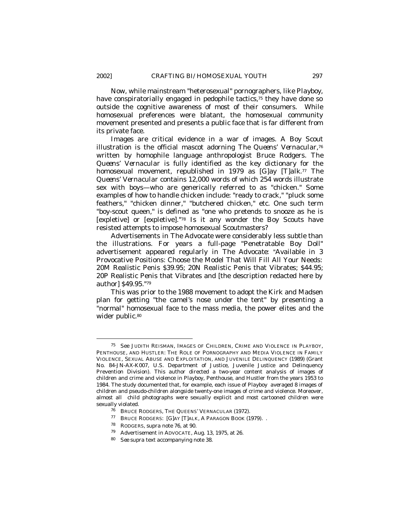$\overline{a}$ 

Now, while mainstream "heterosexual" pornographers, like *Playboy*, have conspiratorially engaged in pedophile tactics,<sup>75</sup> they have done so outside the cognitive awareness of most of their consumers. While homosexual preferences were blatant, the homosexual community movement presented and presents a public face that is far different from its private face.

Images are critical evidence in a war of images. A Boy Scout illustration is the official mascot adorning *The Queens' Vernacular*, 76 written by homophile language anthropologist Bruce Rodgers*. The Queens' Vernacular* is fully identified as the key dictionary for the homosexual movement, republished in 1979 as [*G*]ay [*T*]*alk*. <sup>77</sup> *The Queens' Vernacular* contains 12,000 words of which 254 words illustrate sex with boys—who are generically referred to as "chicken." Some examples of how to handle chicken include: "ready to crack," "pluck some feathers," "chicken dinner," "butchered chicken," etc. One such term "boy-scout queen," is defined as "one who pretends to snooze as he is [expletive] or [expletive]."<sup>78</sup> Is it any wonder the Boy Scouts have resisted attempts to impose homosexual Scoutmasters?

Advertisements in *The Advocate* were considerably less subtle than the illustrations. For years a full-page "Penetratable Boy Doll" advertisement appeared regularly in *The Advocate*: "Available in 3 Provocative Positions: Choose the Model That Will Fill All Your Needs: 20M Realistic Penis \$39.95; 20N Realistic Penis that Vibrates; \$44.95; 20P Realistic Penis that Vibrates and [the description redacted here by author] \$49.95."<sup>79</sup>

This was prior to the 1988 movement to adopt the Kirk and Madsen plan for getting "the camel's nose under the tent" by presenting a "normal" homosexual face to the mass media, the power elites and the wider public.<sup>80</sup>

<sup>75</sup> See JUDITH REISMAN, IMAGES OF CHILDREN, CRIME AND VIOLENCE IN PLAYBOY, PENTHOUSE, AND HUSTLER: THE ROLE OF PORNOGRAPHY AND MEDIA VIOLENCE IN FAMILY VIOLENCE, SEXUAL ABUSE AND EXPLOITATION, AND JUVENILE DELINQUENCY (1989) (Grant No. 84-JN-AX-K007, U.S. Department of Justice, Juvenile Justice and Delinquency Prevention Division). This author directed a two-year content analysis of images of children and crime and violence in Playboy, Penthouse, and Hustler from the years 1953 to 1984. The study documented that, for example, each issue of Playboy averaged 8 images of children and pseudo-children alongside twenty-one images of crime and violence. Moreover, almost all child photographs were sexually explicit and most cartooned children were sexually violated.

<sup>76</sup> BRUCE RODGERS, THE QUEENS' VERNACULAR (1972).

<sup>77</sup> BRUCE RODGERS: [G]AY [T]ALK, A PARAGON BOOK (1979). .

<sup>78</sup> RODGERS, *supra* note 76, at 90.

<sup>79</sup> Advertisement in ADVOCATE, Aug. 13, 1975, at 26.

<sup>80</sup> *See supra* text accompanying note 38.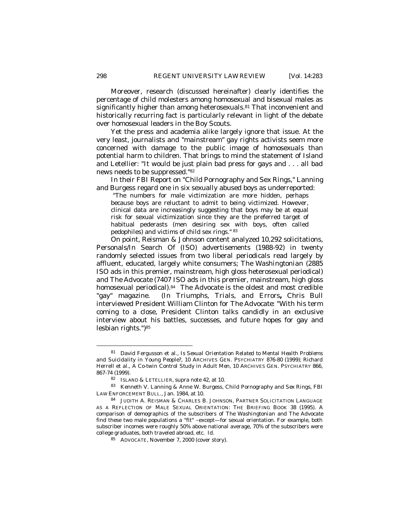Moreover, research (discussed hereinafter) clearly identifies the percentage of child molesters among homosexual and bisexual males as significantly higher than among heterosexuals.<sup>81</sup> That inconvenient and historically recurring fact is particularly relevant in light of the debate over homosexual leaders in the Boy Scouts.

Yet the press and academia alike largely ignore that issue. At the very least, journalists and "mainstream" gay rights activists seem more concerned with damage to the public image of homosexuals than potential harm to children. That brings to mind the statement of Island and Letellier: "It would be just plain bad press for gays and . . . all bad news needs to be suppressed."<sup>82</sup>

In their FBI Report on "Child Pornography and Sex Rings," Lanning and Burgess regard one in six sexually abused boys as underreported:

"The numbers for male victimization are more hidden, perhaps because boys are reluctant to admit to being victimized. However, clinical data are increasingly suggesting that boys may be at equal risk for sexual victimization since they are the preferred target of habitual pederasts (men desiring sex with boys, often called pedophiles) and victims of child sex rings." <sup>83</sup>

On point, Reisman & Johnson content analyzed 10,292 solicitations, Personals/In Search Of (ISO) advertisements (1988-92) in twenty randomly selected issues from two liberal periodicals read largely by affluent, educated, largely white consumers; *The Washingtonian* (2885 ISO ads in this premier, mainstream, high gloss heterosexual periodical) and *The Advocate* (7407 ISO ads in this premier, mainstream, high gloss homosexual periodical).<sup>84</sup> *The Advocate* is the oldest and most credible "gay" magazine. (In *Triumphs, Trials, and Errors***,** Chris Bull interviewed President William Clinton for *The Advocate*: "With his term coming to a close, President Clinton talks candidly in an exclusive interview about his battles, successes, and future hopes for gay and lesbian rights.")<sup>85</sup>

<sup>81</sup> David Fergusson et al., *Is Sexual Orientation Related to Mental Health Problems and Suicidality in Young People?*, 10 ARCHIVES GEN. PSYCHIATRY 876-80 (1999); Richard Herrell et al., *A Co-twin Control Study in Adult Men*, 10 ARCHIVES GEN. PSYCHIATRY 866, 867-74 (1999).

<sup>82</sup> ISLAND & LETELLIER, *supra* note 42, at 10.

<sup>83</sup> Kenneth V. Lanning & Anne W. Burgess*, Child Pornography and Sex Rings,* FBI LAW ENFORCEMENT BULL., Jan. 1984, at 10.

<sup>84</sup> JUDITH A. REISMAN & CHARLES B. JOHNSON, PARTNER SOLICITATION LANGUAGE AS A REFLECTION OF MALE SEXUAL ORIENTATION: THE BRIEFING BOOK 38 (1995). A comparison of demographics of the subscribers of *The Washingtonian* and *The Advocate* find these two male populations a "fit" –except—for sexual orientation. For example, both subscriber incomes were roughly 50% above national average, 70% of the subscribers were college graduates, both traveled abroad, etc. *Id*.

<sup>85</sup> ADVOCATE*,* November 7, 2000 (cover story).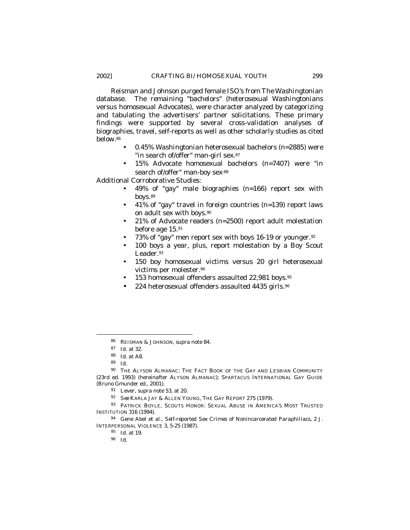Reisman and Johnson purged female ISO's from *The Washingtonian* database. The remaining *"bachelors" (*heterosexual *Washingtonians* versus homosexual *Advocates)*, were character analyzed by categorizing and tabulating the advertisers' partner solicitations. These primary findings were supported by several cross-validation analyses of biographies, travel, self-reports as well as other scholarly studies as cited below.<sup>86</sup>

- 0.45% *Washingtonian* heterosexual bachelors (*n=2885*) were "in search of/offer" man-girl sex.<sup>87</sup>
- 15% *Advocate* homosexual bachelors (*n=7407*) were "in search of/offer" man-boy sex<sup>88</sup>

Additional Corroborative Studies:

- 49% of "gay" male biographies (*n=166*) report sex with boys.<sup>89</sup>
- 41% of "gay" travel in foreign countries (*n=139*) report laws on adult sex with boys.<sup>90</sup>
- 21% of *Advocate* readers (n=*2500*) report adult molestation before age 15.<sup>91</sup>
- 73% of "gay" men report sex with boys 16-19 or younger.<sup>92</sup>
- 100 boys a year, plus, report molestation by a Boy Scout Leader.<sup>93</sup>
- 150 boy homosexual victims versus 20 girl heterosexual victims per molester*.* 94
- 153 homosexual offenders assaulted 22,981 boys*.* 95
- 224 heterosexual offenders assaulted 4435 girls.<sup>96</sup>

 $\overline{a}$ 

<sup>96</sup> *Id.*

<sup>86</sup> REISMAN & JOHNSON, *supra* note 84.

<sup>87</sup> *Id*. at 32.

<sup>88</sup> *Id.* at A8.

<sup>89</sup> *Id.* 

 $90$  THE ALYSON ALMANAC: THE FACT BOOK OF THE GAY AND LESBIAN COMMUNITY (23rd ed. 1993) (hereinafter ALYSON ALMANAC); SPARTACUS INTERNATIONAL GAY GUIDE (Bruno Gmunder ed., 2001).

<sup>91</sup> Lever, *supra* note 53, at 20.

<sup>92</sup> *See* KARLA JAY & ALLEN YOUNG, THE GAY REPORT 275 (1979)*.*

<sup>93</sup> PATRICK BOYLE, SCOUTS HONOR: SEXUAL ABUSE IN AMERICA'S MOST TRUSTED INSTITUTION 316 (1994).

<sup>94</sup> Gene Abel et al., *Self-reported Sex Crimes of Nonincarcerated Paraphiliacs,* 2 J. INTERPERSONAL VIOLENCE 3*,* 5-25 (1987).

<sup>95</sup> *Id.* at 19.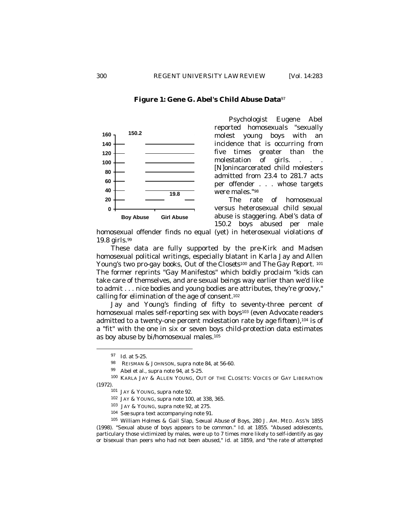# **Figure 1: Gene G. Abel's Child Abuse Data**<sup>97</sup>



Psychologist Eugene Abel reported homosexuals "sexually molest young boys with an incidence that is occurring from five times greater than the molestation of girls. . . . [N]onincarcerated child molesters admitted from 23.4 to 281.7 acts per offender . . . whose targets were males."<sup>98</sup>

The rate of homosexual versus heterosexual child sexual abuse is staggering. Abel's data of 150.2 boys abused per male

homosexual offender finds no equal (yet) in heterosexual violations of 19.8 girls.<sup>99</sup>

These data are fully supported by the pre-Kirk and Madsen homosexual political writings, especially blatant in Karla Jay and Allen Young's two pro-gay books, *Out of the Closets*100 and *The Gay Report.* <sup>101</sup> The former reprints "Gay Manifestos" which boldly proclaim "kids can take care of themselves, and are sexual beings way earlier than we'd like to admit . . . nice bodies and young bodies are attributes, they're groovy," calling for elimination of the age of consent.<sup>102</sup>

Jay and Young's finding of fifty to seventy-three percent of homosexual males self-reporting sex with boys103 (even *Advocate* readers admitted to a twenty-one percent molestation rate *by age fifteen*),104 is of a "fit" with the one in six or seven boys child-protection data estimates as boy abuse by bi/homosexual males.<sup>105</sup>

<sup>97</sup> *Id*. at 5-25.

<sup>98</sup> REISMAN & JOHNSON, *supra* note 84, at 56-60.

<sup>99</sup> Abel et al., *supra* note 94, at 5-25.

<sup>100</sup> KARLA JAY & ALLEN YOUNG*,* OUT OF THE CLOSETS: VOICES OF GAY LIBERATION (1972)*.*

<sup>101</sup> JAY & YOUNG, *supra* note 92.

<sup>102</sup> JAY & YOUNG, *supra* note 100, at 338, 365.

<sup>103</sup> JAY & YOUNG, *supra* note 92, at 275.

<sup>104</sup> *See supra* text accompanying note 91.

<sup>105</sup> William Holmes & Gail Slap, *Sexual Abuse of Boys,* 280 J. AM. MED. ASS'N 1855 (1998). "Sexual abuse of boys appears to be common." *Id*. at 1855. "Abused adolescents, particulary those victimized by males, were up to 7 times more likely to self-identify as gay or bisexual than peers who had not been abused," *id.* at 1859, and "the rate of attempted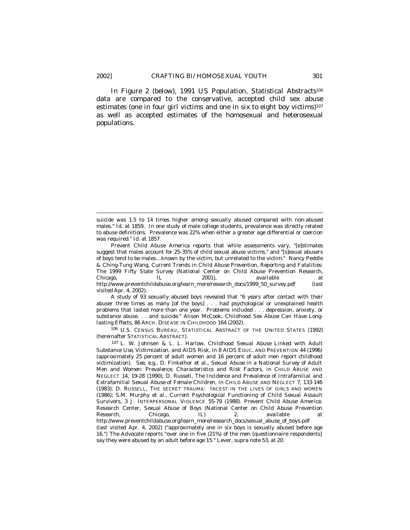In Figure 2 (below), 1991 *US Population, Statistical Abstracts*<sup>106</sup> data are compared to the conservative, accepted child sex abuse estimates (one in four girl victims and one in six to eight boy victims) $107$ as well as accepted estimates of the homosexual and heterosexual populations.

A study of 93 sexually abused boys revealed that "6 years after contact with their abuser three times as many [of the boys] . . . had psychological or unexplained health problems that lasted more than one year. Problems included . . . depression, anxiety, or substance abuse. . . and suicide." Alison McCook, *Childhood Sex Abuse Can Have Longlasting Effects*, 86 ARCH. DISEASE IN CHILDHOOD 164 (2002).

<sup>106</sup> U.S. CENSUS BUREAU, STATISTICAL ABSTRACT OF THE UNITED STATES (1992) (hereinafter STATISTICAL ABSTRACT).

<sup>107</sup> L. W. Johnsen & L. L. Harlow, *Childhood Sexual Abuse Linked with Adult Substance Use, Victimization, and AIDS Risk*, *in* 8 AIDS EDUC. AND PREVENTION 44 (1996) (approximately 25 percent of adult women and 16 percent of adult men report childhood victimization). *See, e.g*., D. Finkelhor et al., *Sexual Abuse in a National Survey of Adult Men and Women: Prevalence, Characteristics and Risk Factors*, *in* CHILD ABUSE AND NEGLECT 14, 19-28 (1990); D. Russell, *The Incidence and Prevalence of Intrafamilial and Extrafamilial Sexual Abuse of Female Children*, *in* CHILD ABUSE AND NEGLECT 7, 133-146 (1983); D. RUSSELL, THE SECRET TRAUMA: INCEST IN THE LIVES OF GIRLS AND WOMEN (1986); S.M. Murphy et al., *Current Psychological Functioning of Child Sexual Assault Survivors*, 3 J. INTERPERSONAL VIOLENCE 55-79 (1988). Prevent Child Abuse America: Research Center, *Sexual Abuse of Boys* (National Center on Child Abuse Prevention Research, Chicago, IL) 2, *available at*  http://www.preventchildabuse.org/learn\_more/research\_docs/sexual\_abuse\_of\_boys.pdf (last visited Apr. 4, 2002) ("approximately one in six boys is sexually abused before age 16.") *The Advocate* reports "over one in five (21%) of the men [questionnaire respondents] say they were abused by an adult before age 15." Lever, *supra* note 53, at 20.

suicide was 1.5 to 14 times higher among sexually abused compared with non-abused males." *Id.* at 1859. In one study of male college students, prevalence was directly related to abuse definitions. Prevalence was 22% when either a greater age differential or coercion was required." *Id.* at 1857.

Prevent Child Abuse America reports that while assessments vary, "[e]stimates suggest that males account for 25-35% of child sexual abuse victims," and "[s]exual abusers of boys tend to be males…known by the victim, but unrelated to the victim." Nancy Peddle & Ching-Tung Wang, *Current Trends in Child Abuse Prevention, Reporting and Fatalities: The 1999 Fifty State Survey* (National Center on Child Abuse Prevention Research, Chicago, IL 2001), *available at*  http://www.preventchildabuse.org/learn\_more/research\_docs/1999\_50\_survey.pdf (last visited Apr. 4, 2002).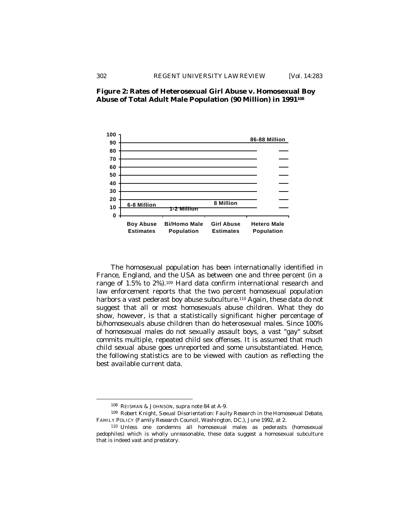

# **Figure 2: Rates of Heterosexual Girl Abuse v. Homosexual Boy Abuse of Total Adult Male Population (90 Million) in 1991<sup>108</sup>**

The homosexual population has been internationally identified in France, England, and the USA as between one and three percent (in a range of 1.5% to 2%).<sup>109</sup> Hard data confirm international research and law enforcement reports that the two percent homosexual population harbors a vast pederast boy abuse subculture.<sup>110</sup> Again, these data do not suggest that all or most homosexuals abuse children. What they do show, however, is that a statistically significant higher percentage of bi/homosexuals abuse children than do heterosexual males. Since 100% of homosexual males do not sexually assault boys, a vast "gay" subset commits multiple, repeated child sex offenses. It is assumed that much child sexual abuse goes unreported and some unsubstantiated. Hence, the following statistics are to be viewed with caution as reflecting the best available current data.

<sup>108</sup> REISMAN & JOHNSON, *supra* note 84 at A-9.

<sup>109</sup> Robert Knight, *Sexual Disorientation: Faulty Research in the Homosexual Debate*, FAMILY POLICY (Family Research Council, Washington, DC.), June 1992, at 2.

<sup>110</sup> Unless one condemns all homosexual males as pederasts (homosexual pedophiles) which is wholly unreasonable, these data suggest a homosexual subculture that is indeed vast and predatory.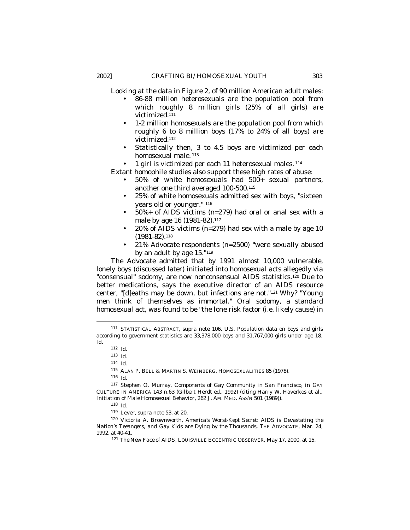Looking at the data in Figure 2, of 90 million American adult males:

- 86-88 million heterosexuals are the population pool from which roughly 8 million girls (25% of all girls) are victimized.<sup>111</sup>
- 1-2 million homosexuals are the population pool from which roughly 6 to 8 million boys (17% to 24% of all boys) are victimized.<sup>112</sup>
- Statistically then, 3 to 4.5 boys are victimized per each homosexual male.<sup>113</sup>

 $\bullet$  1 girl is victimized per each 11 heterosexual males.  $114$ 

Extant homophile studies also support these high rates of abuse:

- 50% of white homosexuals had 500+ sexual partners, another one third averaged 100-500.<sup>115</sup>
- 25% of white homosexuals admitted sex with boys, "sixteen years old or younger." <sup>116</sup>
- 50%+ of AIDS victims (n=279) had oral or anal sex with a male by age 16 (1981-82).<sup>117</sup>
- 20% of AIDS victims ( $n=279$ ) had sex with a male by age 10 (1981-82). 118
- 21% *Advocate* respondents (n=2500) "were sexually abused by an adult by age 15."<sup>119</sup>

*The Advocate* admitted that by 1991 almost 10,000 vulnerable, lonely boys (discussed later) initiated into homosexual acts allegedly via "consensual" sodomy, are now nonconsensual AIDS statistics.120 Due to better medications, says the executive director of an AIDS resource center, "[d]eaths may be down, but infections are not."121 Why? "Young men think of themselves as immortal." Oral sodomy, a standard homosexual act, was found to be "the lone risk factor (i.e. likely cause) in

<sup>111</sup> STATISTICAL ABSTRACT, *supra* note 106. U.S. Population data on boys and girls according to government statistics are 33,378,000 boys and 31,767,000 girls under age 18. *Id.*

<sup>112</sup> *Id.*

<sup>113</sup> *Id.*

<sup>114</sup> *Id.* 

<sup>115</sup> ALAN P. BELL & MARTIN S. WEINBERG*,* HOMOSEXUALITIES 85 (1978).

<sup>116</sup> *Id.* 

<sup>117</sup> Stephen O. Murray, *Components of Gay Community in San Francisco*, in GAY CULTURE IN AMERICA 143 n.63 (Gilbert Herdt ed., 1992) (citing Harry W. Haverkos et al., *Initiation of Male Homosexual Behavior*, 262 J. AM. MED. ASS'N 501 (1989))*.*

<sup>118</sup> *Id.* 

<sup>119</sup> Lever, *supra* note 53, at 20.

<sup>120</sup> Victoria A. Brownworth, *America's Worst-Kept Secret: AIDS is Devastating the Nation's Teeangers, and Gay Kids are Dying by the Thousands*, THE ADVOCATE*,* Mar. 24, 1992, at 40-41.

<sup>121</sup> *The New Face of AIDS,* LOUISVILLE ECCENTRIC OBSERVER*,* May 17, 2000, at 15.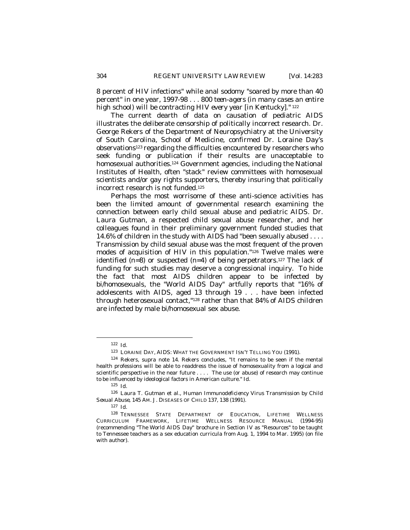8 percent of HIV infections" while anal sodomy "soared by more than 40 percent" in one year, 1997-98 . . . *800 teen-agers (in many cases an entire high school) will be contracting HIV every year [in Kentucky*]." <sup>122</sup>

The current dearth of data on causation of pediatric AIDS illustrates the deliberate censorship of politically incorrect research. Dr. George Rekers of the Department of Neuropsychiatry at the University of South Carolina, School of Medicine, confirmed Dr. Loraine Day's observations<sup>123</sup> regarding the difficulties encountered by researchers who seek funding or publication if their results are unacceptable to homosexual authorities.124 Government agencies, including the National Institutes of Health, often "stack" review committees with homosexual scientists and/or gay rights supporters, thereby insuring that politically incorrect research is not funded.<sup>125</sup>

Perhaps the most worrisome of these anti-science activities has been the limited amount of governmental research examining the connection between early child sexual abuse and pediatric AIDS. Dr. Laura Gutman, a respected child sexual abuse researcher, and her colleagues found in their preliminary government funded studies that 14.6% of children in the study with AIDS had "been sexually abused . . . . Transmission by child sexual abuse was the most frequent of the proven modes of acquisition of HIV in this population."126 Twelve males were identified  $(n=8)$  or suspected  $(n=4)$  of being perpetrators.<sup>127</sup> The lack of funding for such studies may deserve a congressional inquiry. To hide the fact that most AIDS children appear to be infected by bi/homosexuals, the "World AIDS Day" artfully reports that "16% of adolescents with AIDS, aged 13 through 19 . . . have been infected through heterosexual contact,"128 rather than that 84% of AIDS children are infected by male bi/homosexual sex abuse.

<sup>122</sup> *Id.*

<sup>123</sup> LORAINE DAY, AIDS: WHAT THE GOVERNMENT ISN'T TELLING YOU (1991).

<sup>124</sup> Rekers, *supra* note 14. Rekers concludes, "It remains to be seen if the mental health professions will be able to readdress the issue of homosexuality from a logical and scientific perspective in the near future . . . . The use (or abuse) of research may continue to be influenced by ideological factors in American culture." *Id*.

<sup>125</sup> *Id.*

<sup>126</sup> Laura T. Gutman et al., *Human Immunodeficiency Virus Transmission by Child Sexual Abuse*, 145 AM. J. DISEASES OF CHILD 137, 138 (1991).

<sup>127</sup> *Id.*

<sup>128</sup> TENNESSEE STATE DEPARTMENT OF EDUCATION, LIFETIME WELLNESS CURRICULUM FRAMEWORK, LIFETIME WELLNESS RESOURCE MANUAL (1994-95) (recommending *"The World AIDS Day"* brochure in Section IV as "Resources" to be taught to Tennessee teachers as a sex education curricula from Aug. 1, 1994 to Mar. 1995) (on file with author).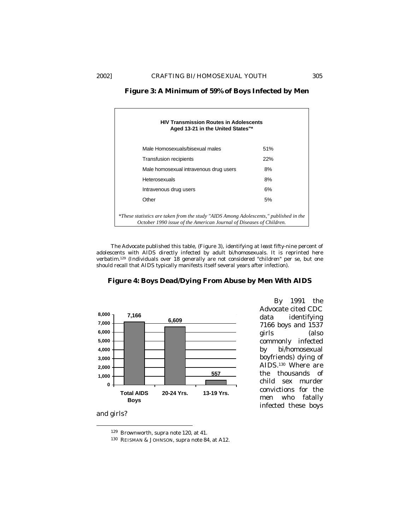| <b>HIV Transmission Routes in Adolescents</b><br>Aged 13-21 in the United States"*                                                                           |     |  |  |
|--------------------------------------------------------------------------------------------------------------------------------------------------------------|-----|--|--|
| Male Homosexuals/bisexual males                                                                                                                              | 51% |  |  |
| <b>Transfusion recipients</b>                                                                                                                                | 22% |  |  |
| Male homosexual intravenous drug users                                                                                                                       | 8%  |  |  |
| Heterosexuals                                                                                                                                                | 8%  |  |  |
| Intravenous drug users                                                                                                                                       | 6%  |  |  |
| Other                                                                                                                                                        | 5%  |  |  |
| *These statistics are taken from the study "AIDS Among Adolescents," published in the<br>October 1990 issue of the American Journal of Diseases of Children. |     |  |  |

**Figure 3: A Minimum of 59% of Boys Infected by Men**

*The Advocate* published this table, (Figure 3), identifying *at least* fifty-nine percent of adolescents with AIDS directly infected by adult bi/homosexuals. It is reprinted here verbatim.129 (Individuals over 18 generally are not considered "children" per se, but one should recall that AIDS typically manifests itself several years after infection).





and girls?

 $\overline{a}$ 

By 1991 the Advocate cited CDC data identifying 7166 boys and 1537 girls (also commonly infected by bi/homosexual boyfriends) dying of AIDS.<sup>130</sup> Where are the thousands of child sex murder convictions for the men who fatally infected these boys

<sup>129</sup> Brownworth, *supra* note 120, at 41.

<sup>130</sup> REISMAN & JOHNSON, *supra* note 84, at A12.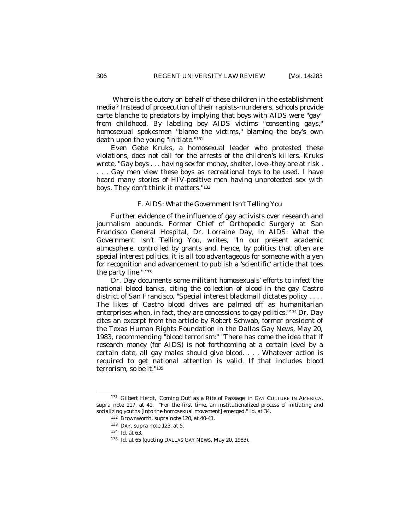Where is the outcry on behalf of these children in the establishment media? Instead of prosecution of their rapists-murderers, schools provide carte blanche to predators by implying that boys with AIDS were "gay" from childhood. By labeling boy AIDS victims "consenting gays," homosexual spokesmen "blame the victims," blaming the boy's own death upon the young "initiate."<sup>131</sup>

Even Gebe Kruks, a homosexual leader who protested these violations, does not call for the arrests of the children's killers. Kruks wrote, "Gay boys . . . *having sex for money, shelter, love-*-they are at risk . . . . Gay men view these boys as recreational toys to be used. I have heard many stories of HIV-positive men having unprotected sex with boys. They don't think it matters."<sup>132</sup>

# *F. AIDS: What the Government Isn't Telling You*

Further evidence of the influence of gay activists over research and journalism abounds. Former Chief of Orthopedic Surgery at San Francisco General Hospital, Dr. Lorraine Day, in *AIDS: What the Government Isn't Telling You*, writes, "In our present academic atmosphere, controlled by grants and, hence, by politics that often are special interest politics, it is all too advantageous for someone with a yen for recognition and advancement to publish a 'scientific' article that toes the party line." <sup>133</sup>

Dr. Day documents some militant homosexuals' efforts to infect the national blood banks, citing the collection of blood in the gay Castro district of San Francisco. "Special interest blackmail dictates policy . . . . The likes of Castro blood drives are palmed off as humanitarian enterprises when, in fact, they are concessions to gay politics."134 Dr. Day cites an excerpt from the article by Robert Schwab, former president of the Texas Human Rights Foundation in the *Dallas Gay News*, May 20, 1983, recommending "blood terrorism:" "There has come the idea that if research money (for AIDS) is not forthcoming at a certain level by a certain date, all gay males should give blood. . . . Whatever action is required to get national attention is valid. If that includes blood terrorism, so be it."<sup>135</sup>

<sup>131</sup> Gilbert Herdt, '*Coming Out' as a Rite of Passage*, *in* GAY CULTURE IN AMERICA, *supra* note 117, at 41. "For the first time, an institutionalized process of initiating and socializing youths [into the homosexual movement] emerged." *Id.* at 34.

<sup>132</sup> Brownworth, *supra* note 120, at 40-41.

<sup>133</sup> DAY, *supra* note 123, at 5.

<sup>134</sup> *Id*. at 63.

<sup>135</sup> *Id*. at 65 (quoting DALLAS GAY NEWS, May 20, 1983).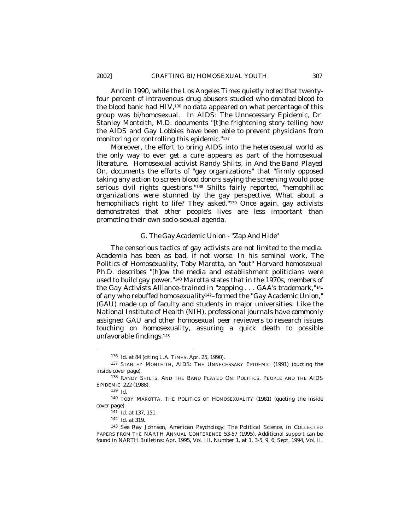And in 1990, while the *Los Angeles Times* quietly noted that twentyfour percent of intravenous drug abusers studied who donated blood to the blood bank had HIV,136 no data appeared on what percentage of this group was bi/homosexual. In *AIDS: The Unnecessary Epidemic*, Dr. Stanley Monteith, M.D. documents "[t]he frightening story telling how the AIDS and Gay Lobbies have been able to prevent physicians from monitoring or controlling this epidemic."<sup>137</sup>

Moreover, the effort to bring AIDS into the heterosexual world as the only way to ever get a cure appears as part of the homosexual literature. Homosexual activist Randy Shilts, in *And the Band Played On*, documents the efforts of "gay organizations" that "firmly opposed taking any action to screen blood donors saying the screening would pose serious civil rights questions."138 Shilts fairly reported, "hemophiliac organizations were stunned by the gay perspective. What about a hemophiliac's right to life? They asked."139 Once again, gay activists demonstrated that other people's lives are less important than promoting their own socio-sexual agenda.

## *G. The Gay Academic Union - "Zap And Hide"*

The censorious tactics of gay activists are not limited to the media. Academia has been as bad, if not worse. In his seminal work, *The Politics of Homosexuality*, Toby Marotta, an "out" Harvard homosexual Ph.D. describes "[h]ow the media and establishment politicians were used to build gay power."140 Marotta states that in the 1970s, members of the Gay Activists Alliance–trained in "zapping . . . GAA's trademark,"<sup>141</sup> of any who rebuffed homosexuality142–formed the "Gay Academic Union," (GAU) made up of faculty and students in major universities. Like the National Institute of Health (NIH), professional journals have commonly assigned GAU and other homosexual peer reviewers to research issues touching on homosexuality, assuring a quick death to possible unfavorable findings.<sup>143</sup>

<sup>136</sup> *Id.* at 84 (citing L.A. TIMES, Apr. 25, 1990).

<sup>137</sup> STANLEY MONTEITH, AIDS: THE UNNECESSARY EPIDEMIC (1991) (quoting the inside cover page).

<sup>138</sup> RANDY SHILTS, AND THE BAND PLAYED ON: POLITICS, PEOPLE AND THE AIDS EPIDEMIC 222 (1988).

<sup>139</sup> *Id.*

<sup>140</sup> TOBY MAROTTA, THE POLITICS OF HOMOSEXUALITY (1981) (quoting the inside cover page).

<sup>141</sup> *Id*. at 137, 151.

<sup>142</sup> *Id*. at 319.

<sup>143</sup> *See* Ray Johnson*, American Psychology: The Political Science, in* COLLECTED PAPERS FROM THE NARTH ANNUAL CONFERENCE 53-57 (1995). Additional support can be found in NARTH Bulletins: Apr. 1995, Vol. III, Number 1, at 1, 3-5, 9, 6; Sept. 1994, Vol. II,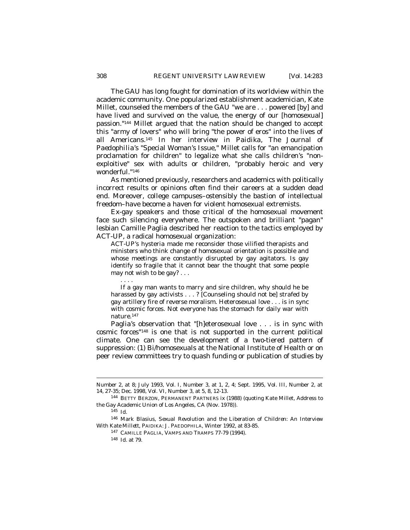The GAU has long fought for domination of its worldview within the academic community. One popularized establishment academician, Kate Millet, counseled the members of the GAU "we are . . . powered [by] and have lived and survived on the value, the energy of our [homosexual] passion."144 Millet argued that the nation should be changed to accept this "army of lovers" who will bring "the power of eros" into the lives of all Americans.145 In her interview in *Paidika, The Journal of Paedophilia*'s "Special Woman's Issue," Millet calls for "an emancipation proclamation for children" to legalize what she calls children's "nonexploitive" sex with adults or children, "probably heroic and very wonderful."<sup>146</sup>

As mentioned previously, researchers and academics with politically incorrect results or opinions often find their careers at a sudden dead end. Moreover, college campuses–ostensibly the bastion of intellectual freedom–have become a haven for violent homosexual extremists.

Ex-gay speakers and those critical of the homosexual movement face such silencing everywhere. The outspoken and brilliant "pagan" lesbian Camille Paglia described her reaction to the tactics employed by ACT-UP, a radical homosexual organization:

ACT-UP's hysteria made me reconsider those vilified therapists and ministers who think change of homosexual orientation is possible and whose meetings are constantly disrupted by gay agitators. Is gay identify so fragile that it cannot bear the thought that some people may not wish to be gay? . . .

If a gay man wants to marry and sire children, why should he be harassed by gay activists . . . ? [Counseling should not be] strafed by gay artillery fire of reverse moralism. Heterosexual love . . . is in sync with cosmic forces. Not everyone has the stomach for daily war with nature.<sup>147</sup>

Paglia's observation that "[h]eterosexual love . . . is in sync with cosmic forces"148 is one that is not supported in the current political climate. One can see the development of a two-tiered pattern of suppression: (1) Bi/homosexuals at the National Institute of Health or on peer review committees try to quash funding or publication of studies by

 $\overline{a}$ 

. . . .

Number 2, at 8; July 1993, Vol. I, Number 3, at 1, 2, 4; Sept. 1995, Vol. III, Number 2, at 14, 27-35; Dec. 1998, Vol. VI, Number 3, at 5, 8, 12-13.

<sup>144</sup> BETTY BERZON, PERMANENT PARTNERS ix (1988) (quoting Kate Millet, Address to the Gay Academic Union of Los Angeles, CA (Nov. 1978)).

<sup>145</sup> *Id.*

<sup>146</sup> Mark Blasius, *Sexual Revolution and the Liberation of Children: An Interview With Kate Millett*, PAIDIKA: J. PAEDOPHILA, Winter 1992, at 83-85.

<sup>147</sup> CAMILLE PAGLIA, VAMPS AND TRAMPS 77-79 (1994).

<sup>148</sup> *Id*. at 79.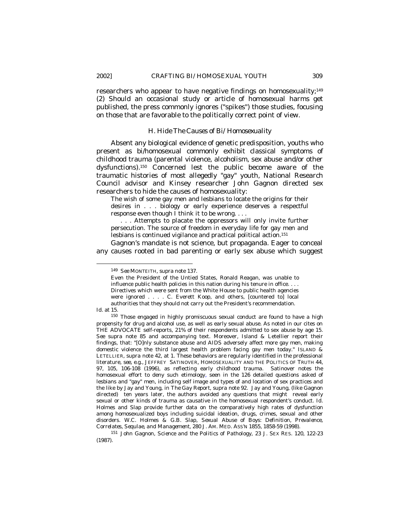researchers who appear to have negative findings on homosexuality;<sup>149</sup> (2) Should an occasional study or article of homosexual harms get published, the press commonly ignores ("spikes") those studies, focusing on those that are favorable to the politically correct point of view.

#### *H. Hide The Causes of Bi/Homosexuality*

Absent any biological evidence of genetic predisposition, youths who present as bi/homosexual commonly exhibit classical symptoms of childhood trauma (parental violence, alcoholism, sex abuse and/or other dysfunctions).150 Concerned lest the public become aware of the traumatic histories of most allegedly "gay" youth, National Research Council advisor and Kinsey researcher John Gagnon directed sex researchers to hide the causes of homosexuality:

The wish of some gay men and lesbians to locate the origins for their desires in . . . biology or early experience deserves a respectful response even though I think it to be wrong. . . .

. . . Attempts to placate the oppressors will only invite further persecution. The source of freedom in everyday life for gay men and lesbians is continued vigilance and practical political action.<sup>151</sup>

Gagnon's mandate is not science, but propaganda. Eager to conceal any causes rooted in bad parenting or early sex abuse which suggest

 $\overline{a}$ 

<sup>151</sup> John Gagnon, *Science and the Politics of Pathology,* 23 J. SEX RES. 120*,* 122-23 (1987).

<sup>149</sup> *See* MONTEITH*, supra* note 137.

Even the President of the Untied States, Ronald Reagan, was unable to influence public health policies in this nation during his tenure in office. . . . Directives which were sent from the White House to public health agencies were ignored . . . . C. Everett Koop, and others, [countered to] local authorities that they should not carry out the President's recommendation.

*Id.* at 15.

<sup>150</sup> Those engaged in highly promiscuous sexual conduct are found to have a high propensity for drug and alcohol use, as well as early sexual abuse. As noted in our cites on THE ADVOCATE self-reports, 21% of their respondents admitted to sex abuse by age 15. *See supra* note 85 and accompanying text. Moreover, Island & Letellier report their findings, that: "[O]nly substance abuse and AIDS adversely affect more gay men, making domestic violence the third largest health problem facing gay men today." ISLAND & LETELLIER, *supra* note 42, at 1*.* These behaviors are regularly identified in the professional literature, *see, e.g.,* JEFFREY SATINOVER*,* HOMOSEXUALITY AND THE POLITICS OF TRUTH 44, 97, 105, 106-108 (1996), as reflecting early childhood trauma.Satinover notes the homosexual effort to deny such etimology, seen in the 126 detailed questions asked of lesbians and "gay" men, including self image and types of and location of sex practices and the like by Jay and Young, in *The Gay Report*, *supra* note 92. Jay and Young, (like Gagnon directed) ten years later, the authors avoided any questions that might reveal early sexual or other kinds of trauma as causative in the homosexual respondent's conduct. *Id.* Holmes and Slap provide further data on the comparatively high rates of dysfunction among homosexualized boys including suicidal ideation, drugs, crimes, sexual and other disorders. W.C. Holmes & G.B. Slap, *Sexual Abuse of Boys: Definition, Prevalence, Correlates, Sequlae, and Management,* 280 J. AM. MED. ASS'N 1855, 1858-59 (1998).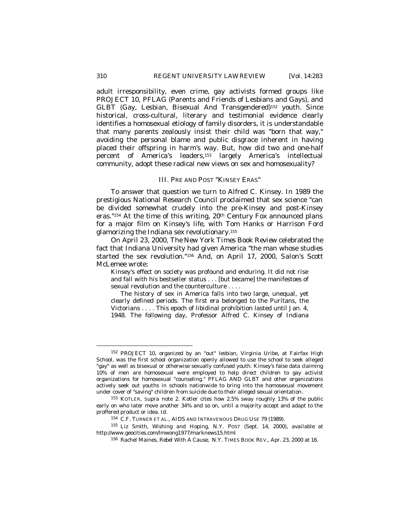adult irresponsibility, even crime, gay activists formed groups like PROJECT 10, PFLAG (Parents and Friends of Lesbians and Gays), and GLBT (Gay, Lesbian, Bisexual And Transgendered)152 youth. Since historical, cross-cultural, literary and testimonial evidence clearly identifies a homosexual etiology of family disorders, it is understandable that many parents zealously insist their child was "born that way," avoiding the personal blame and public disgrace inherent in having placed their offspring in harm's way. But, how did two and one-half percent of America's leaders,153 largely America's intellectual community, adopt these radical new views on sex and homosexuality?

## III. PRE AND POST "KINSEY ERAS"

To answer that question we turn to Alfred C. Kinsey. In 1989 the prestigious National Research Council proclaimed that sex science "can be divided somewhat crudely into the pre-Kinsey and post-Kinsey eras."154 At the time of this writing, 20th Century Fox announced plans for a major film on Kinsey's life, with Tom Hanks or Harrison Ford glamorizing the Indiana sex revolutionary.<sup>155</sup>

On April 23, 2000, *The New York Times Book Review* celebrated the fact that Indiana University had given America "the man whose studies started the sex revolution.*"* <sup>156</sup> And, on April 17, 2000, *Salon's* Scott McLemee wrote:

Kinsey's effect on society was profound and enduring. It did not rise and fall with his bestseller status . . . [but became] the manifestoes of sexual revolution and the counterculture . . . .

The history of sex in America falls into two large, unequal, yet clearly defined periods. The first era belonged to the Puritans, the Victorians . . . . This epoch of libidinal prohibition lasted until Jan. 4, 1948. The following day, Professor Alfred C. Kinsey of Indiana

<sup>152</sup> PROJECT 10, organized by an "out" lesbian, Virginia Uribe, at Fairfax High School, was the first school organization openly allowed to use the school to seek alleged "gay" as well as bisexual or otherwise sexually confused youth. Kinsey's false data claiming 10% of men are homosexual were employed to help direct children to gay activist organizations for homosexual "counseling." PFLAG AND GLBT and other organizations actively seek out youths in schools nationwide to bring into the homosexual movement under cover of "saving" children from suicide due to their alleged sexual orientation.

<sup>153</sup> KOTLER, *Supra* note 2. Kotler cites how 2.5% sway roughly 13% of the public early on who later move another 34% and so on, until a majority accept and adapt to the proffered product or idea. *Id*.

<sup>154</sup> C.F. TURNER ET AL., AIDS AND INTRAVENOUS DRUG USE 79 (1989).

<sup>155</sup> Liz Smith, *Wishing and Hoping*, N.Y. POST (Sept. 14, 2000), *available at* http://www.geocities.com/lmwong1977/marknews15.html

<sup>156</sup> Rachel Maines*, Rebel With A Cause,* N.Y. TIMES BOOK REV.*,* Apr. 23, 2000 at 16.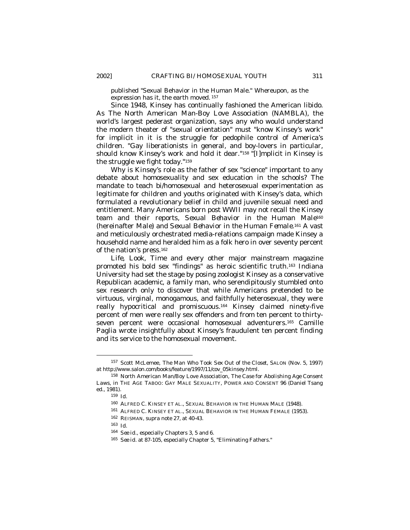published "Sexual Behavior in the Human Male." Whereupon, as the expression has it, the earth moved. <sup>157</sup>

Since 1948, Kinsey has continually fashioned the American libido. As The North American Man-Boy Love Association (NAMBLA), the world's largest pederast organization, says any who would understand the modern theater of "sexual orientation" must "know Kinsey's work" for implicit in it is the struggle for pedophile control of America's children. "Gay liberationists in general, and boy-lovers in particular, should know Kinsey's work and hold it dear."<sup>158</sup> "[I]mplicit in Kinsey is the struggle we fight today."<sup>159</sup>

Why is Kinsey's role as the father of sex "science" important to any debate about homosexuality and sex education in the schools? The mandate to teach bi/homosexual and heterosexual experimentation as legitimate for children and youths originated with Kinsey's data, which formulated a revolutionary belief in child and juvenile sexual need and entitlement. Many Americans born post WWII may not recall the Kinsey team and their reports, *Sexual Behavior in the Human Male*<sup>160</sup> (hereinafter *Male*) and *Sexual Behavior in the Human Female*. <sup>161</sup> A vast and meticulously orchestrated media-relations campaign made Kinsey a household name and heralded him as a folk hero in over seventy percent of the nation's press.<sup>162</sup>

*Life, Look, Time* and every other major mainstream magazine promoted his bold sex "findings" as heroic scientific truth.163 Indiana University had set the stage by posing zoologist Kinsey as a conservative Republican academic, a family man, who serendipitously stumbled onto sex research only to discover that while Americans pretended to be virtuous, virginal, monogamous, and faithfully heterosexual, they were really hypocritical and promiscuous.164 Kinsey claimed ninety-five percent of men were really sex offenders and from ten percent to thirtyseven percent were occasional homosexual adventurers.165 Camille Paglia wrote insightfully about Kinsey's fraudulent ten percent finding and its service to the homosexual movement.

- <sup>161</sup> ALFRED C. KINSEY ET AL., SEXUAL BEHAVIOR IN THE HUMAN FEMALE (1953).
- <sup>162</sup> REISMAN*, supra* note 27, at 40-43.

<sup>157</sup> Scott McLemee, *The Man Who Took Sex Out of the Closet*, SALON (Nov. 5, 1997) *at* http://www.salon.com/books/feature/1997/11/cov\_05kinsey.html.

<sup>158</sup> North American Man/Boy Love Association, *The Case for Abolishing Age Consent Laws*, *in* THE AGE TABOO: GAY MALE SEXUALITY, POWER AND CONSENT 96 (Daniel Tsang ed., 1981).

<sup>159</sup> *Id.*

<sup>160</sup> ALFRED C. KINSEY ET AL., SEXUAL BEHAVIOR IN THE HUMAN MALE (1948).

<sup>163</sup> *Id.*

<sup>164</sup> *See id*.*,* especially Chapters 3, 5 and 6.

<sup>165</sup> *See id*. at 87-105, especially Chapter 5, "Eliminating Fathers."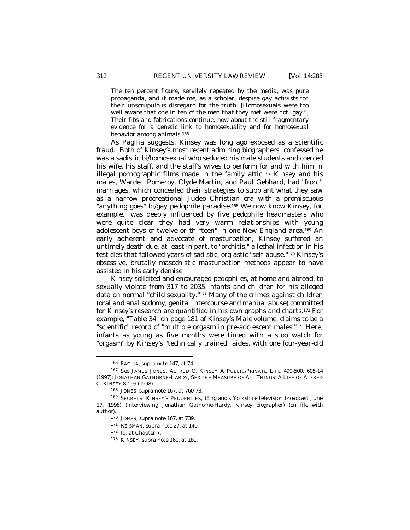The ten percent figure, servilely repeated by the media, was pure propaganda, and it made me, as a scholar, despise gay activists for their unscrupulous disregard for the truth. [Homosexuals were too well aware that one in ten of the men that they met were *not* "gay."] Their fibs and fabrications continue, now about the still-fragmentary evidence for a genetic link to homosexuality and for homosexual behavior among animals.<sup>166</sup>

As Pagilia suggests, Kinsey was long ago exposed as a scientific fraud. Both of Kinsey's most recent admiring biographers confessed he was a sadistic bi/homosexual who seduced his male students and coerced his wife, his staff, and the staff's wives to perform for and with him in illegal pornographic films made in the family attic.167 Kinsey and his mates, Wardell Pomeroy, Clyde Martin, and Paul Gebhard, had "front" marriages, which concealed their strategies to supplant what they saw as a narrow procreational Judeo Christian era with a promiscuous "anything goes" bi/gay pedophile paradise.168 We now know Kinsey, for example, "was deeply influenced by five pedophile headmasters who were quite clear they had very warm relationships with young adolescent boys of twelve or thirteen" in one New England area.169 An early adherent and advocate of masturbation, Kinsey suffered an untimely death due, at least in part, to "orchitis," a lethal infection in his testicles that followed years of sadistic, orgiastic "self-abuse."170 Kinsey's obsessive, brutally masochistic masturbation methods appear to have assisted in his early demise.

Kinsey solicited and encouraged pedophiles, at home and abroad, to sexually violate from 317 to 2035 infants and children for his alleged data on normal "child sexuality."171 Many of the crimes against children (oral and anal sodomy, genital intercourse and manual abuse) committed *for Kinsey's* research are quantified in his own graphs and charts.172 For example, "Table 34" on page 181 of Kinsey's *Male* volume, claims to be a "scientific" record of "multiple orgasm in pre-adolescent males."173 Here, infants as young as five months were timed with a stop watch for "orgasm" by Kinsey's "technically trained" aides, with one four-year-old

<sup>166</sup> PAGLIA, *supra* note 147, at 74*.*

<sup>167</sup> *See* JAMES JONES, ALFRED C. KINSEY A PUBLIC/PRIVATE LIFE 499-500, 605-14 (1997); JONATHAN GATHORNE-HARDY, SEX THE MEASURE OF ALL THINGS: A LIFE OF ALFRED C. KINSEY 82-99 (1998).

<sup>168</sup> JONES*, supra* note 167, at 760-73.

<sup>169</sup> SECRETS: KINSEY'S PEDOPHILES*,* (England's Yorkshire television broadcast June 17, 1998) (interviewing Jonathan Gathorne-Hardy, Kinsey biographer) (on file with author).

<sup>170</sup> JONES, *supra* note 167, at 739*.*

<sup>171</sup> REISMAN, *supra* note 27, at 140.

<sup>172</sup> *Id.* at Chapter 7.

<sup>173</sup> KINSEY, *supra* note 160, at 181.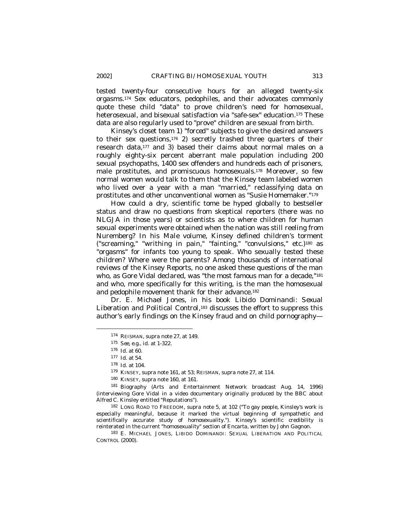tested twenty-four consecutive hours for an alleged twenty-six orgasms.174 Sex educators, pedophiles, and their advocates commonly quote these child "data" to prove children's need for homosexual, heterosexual, and bisexual satisfaction via "safe-sex" education.175 These data are also regularly used to "prove" children are sexual from birth.

Kinsey's closet team 1) "*forced*" subjects to give the desired answers to their sex questions,176 2) secretly trashed three quarters of their research data,177 and 3) based their claims about normal males on a roughly eighty-six percent aberrant male population including 200 sexual psychopaths, 1400 sex offenders and hundreds each of prisoners, male prostitutes, and promiscuous homosexuals.178 Moreover, so few normal women would talk to them that the Kinsey team labeled women who lived over a year with a man "married," reclassifying data on prostitutes and other unconventional women as "Susie Homemaker."<sup>179</sup>

How could a dry, scientific tome be hyped globally to bestseller status and draw no questions from skeptical reporters (there was no NLGJA in those years) or scientists as to where children for human sexual experiments were obtained when the nation was still reeling from Nuremberg? In his *Male* volume, Kinsey defined children's torment ("screaming," "writhing in pain," "fainting," "convulsions," etc.)180 as "orgasms" for infants too young to speak. *Who* sexually tested these children? Where were the parents? Among thousands of international reviews of the Kinsey Reports, no one asked these questions of the man who, as Gore Vidal declared, was "the most famous man for a decade,"<sup>181</sup> and who, more specifically for this writing, is the man the homosexual and pedophile movement thank for their advance.<sup>182</sup>

Dr. E. Michael Jones, in his book *Libido Dominandi: Sexual Liberation and Political Control*, <sup>183</sup> discusses the effort to suppress this author's early findings on the Kinsey fraud and on child pornography—

<sup>174</sup> REISMAN, *supra* note 27, at 149.

<sup>175</sup> *See, e.g*., *id*. at 1-322.

<sup>176</sup> *Id.* at 60.

<sup>177</sup> *Id.* at 54.

<sup>178</sup> *Id.* at 104.

<sup>179</sup> KINSEY, *supra* note 161, at 53; REISMAN, *supra* note 27, at 114.

<sup>180</sup> KINSEY, *supra* note 160, at 161.

<sup>181</sup> *Biography* (Arts and Entertainment Network broadcast Aug. 14, 1996) (interviewing Gore Vidal in a video documentary originally produced by the BBC about Alfred C. Kinsley entitled "Reputations").

<sup>182</sup> LONG ROAD TO FREEDOM, *supra* note 5, at 102 ("To gay people, Kinsley's work is especially meaningful, because it marked the virtual beginning of sympathetic and scientifically accurate study of homosexuality."). Kinsey's scientific credibility is reinterated in the current "homosexuality" section of *Encarta*, written by John Gagnon.

<sup>183</sup> E. MICHAEL JONES, LIBIDO DOMINANDI: SEXUAL LIBERATION AND POLITICAL CONTROL (2000).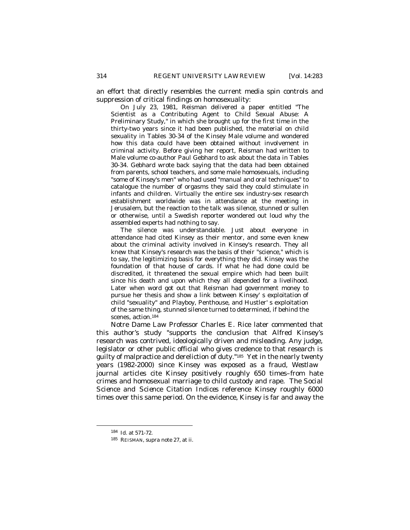an effort that directly resembles the current media spin controls and suppression of critical findings on homosexuality:

On July 23, 1981, Reisman delivered a paper entitled "The Scientist as a Contributing Agent to Child Sexual Abuse: A Preliminary Study," in which she brought up for the first time in the thirty-two years since it had been published, the material on child sexuality in Tables 30-34 of the Kinsey Male volume and wondered how this data could have been obtained without involvement in criminal activity. Before giving her report, Reisman had written to Male volume co-author Paul Gebhard to ask about the data in Tables 30-34. Gebhard wrote back saying that the data had been obtained from parents, school teachers, and some male homosexuals, including "some of Kinsey's men" who had used "manual and oral techniques" to catalogue the number of orgasms they said they could stimulate in infants and children. Virtually the entire sex industry-sex research establishment worldwide was in attendance at the meeting in Jerusalem, but the reaction to the talk was silence, stunned or sullen or otherwise, until a Swedish reporter wondered out loud why the assembled experts had nothing to say.

The silence was understandable. Just about everyone in attendance had cited Kinsey as their mentor, and some even knew about the criminal activity involved in Kinsey's research. They all knew that Kinsey's research was the basis of their "science," which is to say, the legitimizing basis for everything they did. Kinsey was the foundation of that house of cards. If what he had done could be discredited, it threatened the sexual empire which had been built since his death and upon which they all depended for a livelihood. Later when word got out that Reisman had government money to pursue her thesis and show a link between Kinsey' s exploitation of child "sexuality" and Playboy, Penthouse, and Hustler' s exploitation of the same thing, stunned silence turned to determined, if behind the scenes, action.<sup>184</sup>

Notre Dame Law Professor Charles E. Rice later commented that this author's study "supports the conclusion that Alfred Kinsey's research was contrived, ideologically driven and misleading. Any judge, legislator or other public official who gives credence to that research is guilty of malpractice and dereliction of duty."185 Yet in the nearly twenty years (1982-2000) since Kinsey was exposed as a fraud, *Westlaw* journal articles cite Kinsey positively roughly 650 times–from hate crimes and homosexual marriage to child custody and rape. The *Social Science and Science Citation Indices* reference Kinsey roughly 6000 times over this same period. On the evidence, Kinsey is far and away the

<sup>184</sup> *Id.* at 571-72.

<sup>185</sup> REISMAN, *supra* note 27, at ii.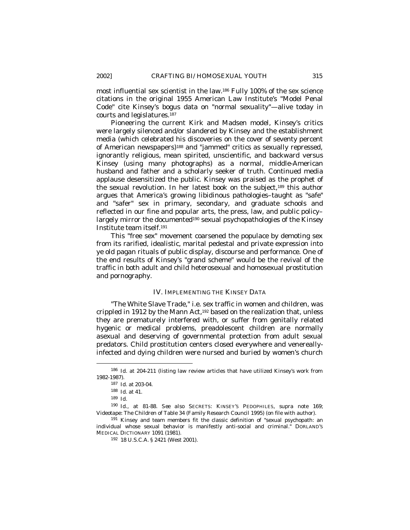most influential sex scientist in the law.186 Fully 100% of the sex science citations in the original 1955 American Law Institute's "Model Penal Code" cite Kinsey's bogus data on "normal sexuality"—alive today in courts and legislatures*.* 187

Pioneering the current Kirk and Madsen model, Kinsey's critics were largely silenced and/or slandered by Kinsey and the establishment media (which celebrated his discoveries on the cover of seventy percent of American newspapers)188 and "jammed" critics as sexually repressed, ignorantly religious, mean spirited, unscientific, and backward versus Kinsey (using many photographs) as a normal, middle-American husband and father and a scholarly seeker of truth. Continued media applause desensitized the public. Kinsey was praised as the prophet of the sexual revolution. In her latest book on the subject,189 this author argues that America's growing libidinous pathologies–taught as "safe" and "safer" sex in primary, secondary, and graduate schools and reflected in our fine and popular arts, the press, law, and public policy– largely mirror the documented<sup>190</sup> sexual psychopathologies of the Kinsey Institute team itself.<sup>191</sup>

This "free sex" movement coarsened the populace by demoting sex from its rarified, idealistic, marital pedestal and private expression into ye old pagan rituals of public display, discourse and performance. One of the end results of Kinsey's "grand scheme" would be the revival of the traffic in both adult and child heterosexual and homosexual prostitution and pornography.

# IV. IMPLEMENTING THE KINSEY DATA

"The White Slave Trade," i.e. sex traffic in women and children, was crippled in 1912 by the Mann Act,<sup>192</sup> based on the realization that, unless they are prematurely interfered with, or suffer from genitally related hygenic or medical problems, preadolescent children are normally asexual and deserving of governmental protection from adult sexual predators. Child prostitution centers closed everywhere and venereallyinfected and dying children were nursed and buried by women's church

<sup>186</sup> *Id*. at 204-211 (listing law review articles that have utilized Kinsey's work from 1982-1987).

<sup>187</sup> *Id.* at 203-04.

<sup>188</sup> *Id*. at 41.

<sup>189</sup> *Id.*

<sup>190</sup> *Id.*, at 81-88. *See also* SECRETS: KINSEY'S PEDOPHILES, *supra* note 169*;*  Videotape: The Children of Table 34 (Family Research Council 1995) (on file with author)*.*

<sup>191</sup> Kinsey and team members fit the classic definition of "sexual psychopath: an individual whose sexual behavior is manifestly anti-social and criminal." DORLAND'S MEDICAL DICTIONARY 1091 (1981).

<sup>192</sup> 18 U.S.C.A. § 2421 (West 2001).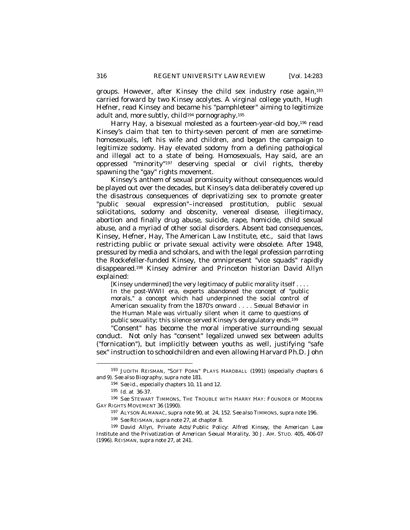groups. However, after Kinsey the child sex industry rose again,<sup>193</sup> carried forward by two Kinsey acolytes. A virginal college youth, Hugh Hefner, read Kinsey and became his "pamphleteer" aiming to legitimize adult and, more subtly, *child*<sup>194</sup> pornography.<sup>195</sup>

Harry Hay, a bisexual molested as a fourteen-year-old boy,196 read Kinsey's claim that ten to thirty-seven percent of men are sometimehomosexuals, left his wife and children, and began the campaign to legitimize sodomy. Hay elevated sodomy from a defining pathological and illegal act to a state of being. Homosexuals, Hay said, are an oppressed "minority"197 deserving special or civil rights, thereby spawning the "gay" rights movement.

Kinsey's anthem of sexual promiscuity without consequences would be played out over the decades, but Kinsey's data deliberately covered up the disastrous consequences of deprivatizing sex to promote greater "public sexual expression"–increased prostitution, public sexual solicitations, sodomy and obscenity, venereal disease, illegitimacy, abortion and finally drug abuse, suicide, rape, homicide, child sexual abuse, and a myriad of other social disorders. Absent bad consequences, Kinsey, Hefner, Hay, The American Law Institute, etc., said that laws restricting public or private sexual activity were obsolete. After 1948, pressured by media and scholars, and with the legal profession parroting the Rockefeller-funded Kinsey, the omnipresent "vice squads" rapidly disappeared.198 Kinsey admirer and Princeton historian David Allyn explained:

[Kinsey undermined] the very legitimacy of public morality itself . . . . In the post-WWII era, experts abandoned the concept of "public morals," a concept which had underpinned the social control of American sexuality from the 1870's onward . . . . *Sexual Behavior in the Human Male* was virtually silent when it came to questions of public sexuality; this silence served Kinsey's deregulatory ends.<sup>199</sup>

"Consent" has become the moral imperative surrounding sexual conduct. Not only has "consent" legalized unwed sex between adults ("fornication"), but implicitly between youths as well, justifying "safe sex" instruction to schoolchildren and even allowing Harvard Ph.D. John

<sup>193</sup> JUDITH REISMAN*,* "SOFT PORN" PLAYS HARDBALL (1991) (especially chapters 6 and 9). *See also Biography*, *supra* note 181*.*

<sup>194</sup> *See id.*, especially chapters 10, 11 and 12.

<sup>195</sup> *Id*. at 36-37.

<sup>196</sup> *See* STEWART TIMMONS, THE TROUBLE WITH HARRY HAY: FOUNDER OF MODERN GAY RIGHTS MOVEMENT 36 (1990).

<sup>197</sup> ALYSON ALMANAC, *supra* note 90, at 24, 152. *See also* TIMMONS, *supra* note 196.

<sup>198</sup> *See* REISMAN, *supra* note 27, at chapter 8.

<sup>199</sup> David Allyn*, Private Acts/Public Policy: Alfred Kinsey, the American Law Institute and the Privatization of American Sexual Morality,* 30 J. AM. STUD. 405, 406-07 (1996). REISMAN, *supra* note 27, at 241.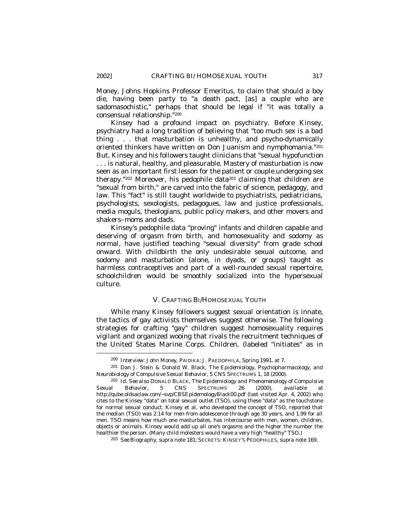Money, Johns Hopkins Professor Emeritus, to claim that should a boy die, having been party to "a death pact, [as] a couple who are sadomasochistic," perhaps that should be legal if "it was totally a consensual relationship."<sup>200</sup>

Kinsey had a profound impact on psychiatry. Before Kinsey, psychiatry had a long tradition of believing that "too much sex is a bad thing . . . that masturbation is unhealthy, and psycho-dynamically oriented thinkers have written on Don Juanism and nymphomania."<sup>201</sup> But, Kinsey and his followers taught clinicians that "sexual hypofunction . . . is natural, healthy, and pleasurable. Mastery of masturbation is now seen as an important first lesson for the patient or couple undergoing sex therapy."202 Moreover, his pedophile data203 claiming that children are "sexual from birth," are carved into the fabric of science, pedagogy, and law. This "fact" is still taught worldwide to psychiatrists, pediatricians, psychologists, sexologists, pedagogues, law and justice professionals, media moguls, theologians, public policy makers, and other movers and shakers–moms and dads.

Kinsey's pedophile data "proving" infants and children capable and deserving of orgasm from birth, and homosexuality and sodomy as normal, have justified teaching "sexual diversity" from grade school onward. With childbirth the only undesirable sexual outcome, and sodomy and masturbation (alone, in dyads, or groups) taught as harmless contraceptives and part of a well-rounded sexual repertoire, schoolchildren would be smoothly socialized into the hypersexual culture.

# V. CRAFTING BI/HOMOSEXUAL YOUTH

While many Kinsey followers suggest sexual orientation is innate, the tactics of gay activists themselves suggest otherwise. The following strategies for crafting "gay" children suggest homosexuality requires vigilant and organized wooing that rivals the recruitment techniques of the United States Marine Corps. Children, (labeled "initiates" as in

<sup>200</sup> *Interview: John Money,* PAIDIKA: J. PAEDOPHILA, Spring 1991, at 7.

<sup>201</sup> Dan J. Stein & Donald W. Black, *The Epidemiology, Psychopharmacology, and Neurobiology of Compulsive Sexual Behavior*, 5 CNS SPECTRUMS 1, 18 (2000).

<sup>202</sup> *Id*. *See also* DONALD BLACK*, The Epidemiology and Phenomenology of Compulsive Sexual Behavior*, 5 CNS SPECTRUMS 26 (2000), *available at* http://qube.oldsaclaw.com/~svp/CBSEpidemologyBlack00.pdf (last visited Apr. 4, 2002) who cites to the Kinsey "data" on total sexual outlet (TSO), using these "data" as the touchstone for normal sexual conduct. Kinsey et al, who developed the concept of TSO, reported that the median (TSO) was 2.14 for men from adolescence through age 30 years, and 1.99 for all men. TSO means how much one masturbates, has intercourse with men, women, children, objects or animals. Kinsey would add up all one's orgasms and the higher the number the healthier the person. (Many child molesters would have a very high "healthy" TSO.)

<sup>203</sup> *See Biography*, *supra* note 181; SECRETS: KINSEY'S PEDOPHILES, *supra* note 169.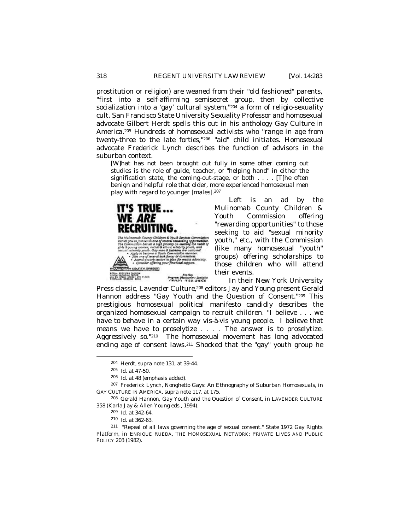prostitution or religion) are weaned from their "old fashioned" parents, "first into a self-affirming semisecret group, then by collective socialization into a 'gay' cultural system,"204 a form of religio-sexuality cult. San Francisco State University Sexuality Professor and homosexual advocate Gilbert Herdt spells this out in his anthology *Gay Culture in America*. <sup>205</sup> Hundreds of homosexual activists who *"range in age from twenty-three to the late forties,"*206 "aid" child initiates. Homosexual advocate Frederick Lynch describes the function of advisors in the suburban context.

[W]hat has not been brought out fully in some other coming out studies is the role of guide, teacher, or "helping hand" in either the signification state, the coming-out-stage, or both . . . . [T]he often benign and helpful role that older, more experienced homosexual men play with regard to younger [males].<sup>207</sup>



Left is an ad by the Mulinomab County Children & Youth Commission offering "rewarding opportunities" to those seeking to aid "sexual minority youth," etc., with the Commission (like many homosexual "youth" groups) offering scholarships to those children who will attend their events.

In their New York University

Press classic, *Lavender Culture,*<sup>208</sup> editors Jay and Young present Gerald Hannon address "Gay Youth and the Question of Consent."209 This prestigious homosexual political manifesto candidly describes the organized homosexual campaign to recruit children. "I believe . . . we have to behave in a certain way vis-à-vis young people. I believe that means we have to proselytize . . . . The answer is to proselytize. Aggressively so." <sup>210</sup> The homosexual movement has long advocated ending age of consent laws.211 Shocked that the "gay" youth group he

-

<sup>207</sup> Frederick Lynch, *Nonghetto Gays: An Ethnography of Suburban Homosexuals*, *in*  GAY CULTURE IN AMERICA, *supra* note 117, at 175*.*

<sup>208</sup> Gerald Hannon, *Gay Youth and the Question of Consent*, *in* LAVENDER CULTURE 358 (Karla Jay & Allen Young eds., 1994).

<sup>211</sup> "Repeal of all laws governing the age of sexual consent." State 1972 Gay Rights Platform*, in* ENRIQUE RUEDA, THE HOMOSEXUAL NETWORK: PRIVATE LIVES AND PUBLIC POLICY 203 (1982).

<sup>204</sup> Herdt*, supra* note 131, at 39-44.

<sup>205</sup> *Id.* at 47-50.

<sup>206</sup> *Id.* at 48 (emphasis added).

<sup>209</sup> *Id.* at 342-64.

<sup>210</sup> *Id.* at 362-63.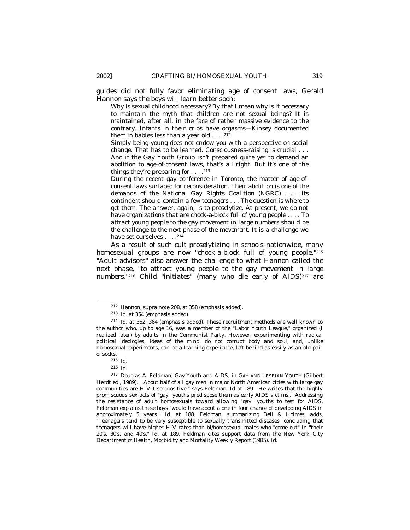guides did not fully favor eliminating age of consent laws, Gerald Hannon says the boys will learn better soon:

Why is sexual childhood necessary? By that I mean why is it necessary to maintain the myth that children are not sexual beings? It is maintained, after all, in the face of rather massive evidence to the contrary. Infants in their cribs have orgasms—Kinsey documented them in babies less than a year old  $\dots$ .<sup>212</sup>

Simply being young does not endow you with a perspective on social change. That has to be learned. Consciousness-raising is crucial . . . And if the Gay Youth Group isn't prepared quite yet to demand an abolition to age-of-consent laws, that's all right. But it's one of the things they're preparing for  $\dots$  .<sup>213</sup>

During the recent gay conference in Toronto, the matter of age-ofconsent laws surfaced for reconsideration. Their abolition is one of the *demands* of the National Gay Rights Coalition (NGRC) . . . *its contingent should contain a few teenagers* . . . *The question is where to get them*. The answer, again, *is to proselytize*. At present, we do not have organizations that are chock-a-block full of young people . . . . *To attract young people to the gay movement in large numbers should be the challenge to the next phase of the movement*. It is a challenge we have set ourselves . . . . <sup>214</sup>

As a result of such cult proselytizing in schools nationwide, many homosexual groups are *now* "chock-a-block full of young people."<sup>215</sup> "Adult advisors" also answer the challenge to what Hannon called the next phase, "to attract young people to the gay movement in large numbers."216 Child "initiates" (many who die early of AIDS)217 are

<sup>212</sup> Hannon, *supra* note 208, at 358 (emphasis added).

<sup>213</sup> *Id*. at 354 (emphasis added).

<sup>214</sup> *Id*. at 362, 364 (emphasis added). These recruitment methods are well known to the author who, up to age 16, was a member of the "Labor Youth League," organized (I realized later) by adults in the Communist Party. However, experimenting with radical political ideologies, ideas of the mind, do not corrupt body and soul, and, unlike homosexual experiments, can be a learning experience, left behind as easily as an old pair of socks.

<sup>215</sup> *Id.*

<sup>216</sup> *Id.*

<sup>217</sup> Douglas A. Feldman, *Gay Youth and AIDS*, *in* GAY AND LESBIAN YOUTH (Gilbert Herdt ed., 1989). "About half of all gay men in major North American cities with large gay communities are HIV-1 seropositive," says Feldman. *Id* at 189. He writes that the highly promiscuous sex acts of "gay" youths predispose them as early AIDS victims.. Addressing the resistance of adult homosexuals toward allowing "gay" youths to test for AIDS, Feldman explains these boys "would have about a one in four chance of developing AIDS in approximately 5 years." *Id.* at 188. Feldman, summarizing Bell & Holmes, adds, "Teenagers tend to be very susceptible to sexually transmitted diseases" concluding that teenagers will have higher HIV rates than bi/homosexual males who "come out" in "their 20's, 30's, and 40's." *Id.* at 189. Feldman cites support data from the New York City Department of Health, Morbidity and Mortality Weekly Report (1985). *Id.*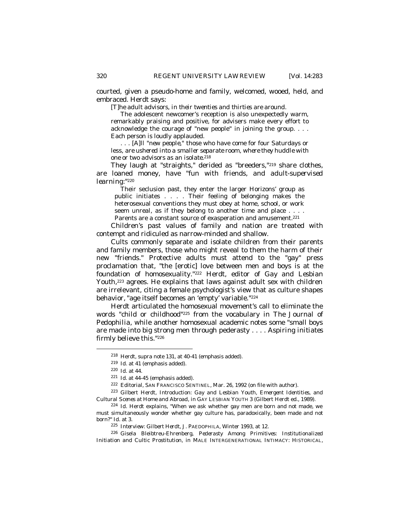courted, given a pseudo-home and family, welcomed, wooed, held, and embraced. Herdt says:

*[T]he adult advisors, in their twenties and thirties are around*.

The adolescent newcomer's reception is also unexpectedly warm, remarkably praising and positive, for advisers make every effort to acknowledge the courage of "new people" in joining the group. . . . Each person is loudly applauded.

. . . [A]ll *"new people,"* those who have come for four Saturdays or less, *are ushered into a smaller separate room, where they huddle with one or two advisors as an isolate*. 218

They laugh at "straights," derided as "breeders,"219 share clothes, are loaned money, have "fun with friends, *and adult-supervised*  learning:"<sup>220</sup>

Their seclusion past, they enter the larger Horizons' group as public initiates . . . . Their feeling of belonging makes the heterosexual conventions they must obey at home, school, or work seem unreal, as if they belong to another time and place . . . . Parents are a constant source of exasperation and amusement.<sup>221</sup>

Children's past values of family and nation are treated with contempt and ridiculed as narrow-minded and shallow.

Cults commonly separate and isolate children from their parents and family members, those who might reveal to them the harm of their new "friends." Protective adults must attend to the "gay" press proclamation that, "the [erotic] love between men and boys is at the foundation of homosexuality."222 Herdt, editor of *Gay and Lesbian* Youth,<sup>223</sup> agrees. He explains that laws against adult sex with children are irrelevant, citing a female psychologist's view that as culture shapes behavior,"age itself becomes an 'empty' variable."<sup>224</sup>

Herdt articulated the homosexual movement's call to eliminate the words "child or childhood"225 from the vocabulary in *The Journal of Pedophilia*, while another homosexual academic notes some "small boys are made into big strong men through pederasty . . . . *Aspiring initiates* firmly believe this."<sup>226</sup>

-

<sup>223</sup> Gilbert Herdt, *Introduction: Gay and Lesbian Youth, Emergent Identities, and Cultural Scenes at Home and Abroad*, *in* GAY LESBIAN YOUTH 3 (Gilbert Herdt ed., 1989).

<sup>226</sup> Gisela Bleibtreu-Ehrenberg, *Pederasty Among Primitives: Institutionalized Initiation and Cultic Prostitution*, *in* MALE INTERGENERATIONAL INTIMACY: HISTORICAL,

<sup>218</sup> Herdt, *supra* note 131, at 40-41 (emphasis added).

<sup>219</sup> *Id*. at 41 (emphasis added).

<sup>220</sup> *Id.* at 44.

<sup>221</sup> *Id*. at 44-45 (emphasis added).

<sup>222</sup> Editorial, SAN FRANCISCO SENTINEL*,* Mar. 26, 1992 (on file with author).

<sup>224</sup> *Id*. Herdt explains*,* "When we ask whether gay men are born and not made, we must simultaneously wonder whether gay culture has, paradoxically, been made and not born?" *Id.* at 3.

<sup>225</sup> *Interview: Gilbert Herdt*, J. PAEDOPHILA, Winter 1993, at 12.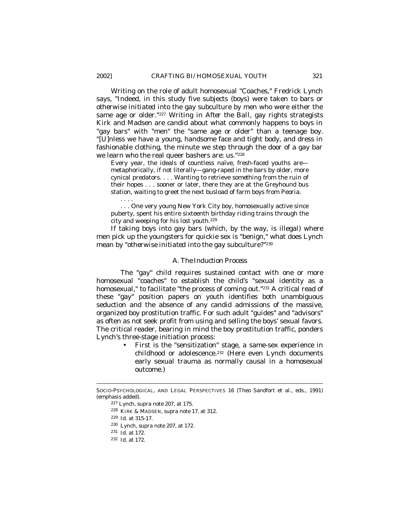Writing on the role of adult homosexual "Coaches," Fredrick Lynch says, "Indeed, in this study five subjects (boys) were taken to bars *or otherwise initiated* into the gay subculture by men who were either the same age or older."227 Writing in *After the Ball*, gay rights strategists Kirk and Madsen are candid about what commonly happens to boys in "gay bars" with "men" the "same age or older" than a teenage boy. "[U]nless we have a young, handsome face and tight body, and dress in fashionable clothing, the minute we step through the door of a gay bar we learn who the real queer bashers are: us."<sup>228</sup>

Every year, the ideals of countless naïve, fresh-faced youths are metaphorically, if not literally—gang-raped in the bars by older, more cynical predators. . . . Wanting to retrieve *something* from the ruin of their hopes . . . sooner or later, there they are at the Greyhound bus station, waiting to greet the next busload of farm boys from Peoria.

. . . One very young New York City boy, homosexually active since puberty, spent his entire sixteenth birthday riding trains through the city and weeping for his lost youth.<sup>229</sup>

If taking boys into gay bars (which, by the way, is illegal) where men pick up the youngsters for quickie sex is "benign," what does Lynch mean by "*otherwise initiated* into the gay subculture?"<sup>230</sup>

## *A. The Induction Process*

The "gay" child requires sustained contact with one or more homosexual "coaches" to establish the child's "sexual identity as a homosexual," to facilitate "the process of coming out."231 A critical read of these "gay" position papers on youth identifies both unambiguous seduction and the absence of any candid admissions of the massive, organized boy prostitution traffic. For such adult "guides" and "advisors" as often as not seek profit from using and selling the boys' sexual favors. The critical reader, bearing in mind the boy prostitution traffic, ponders Lynch's three-stage initiation process:

> • First is the "sensitization" stage, a same-sex experience in childhood or adolescence.<sup>232</sup> (Here even Lynch documents early sexual trauma as normally causal in a homosexual outcome.)

 $\overline{a}$ 

. . . .

SOCIO-PSYCHOLOGICAL, AND LEGAL PERSPECTIVES 16 (Theo Sandfort et al., eds., 1991) (emphasis added).

<sup>227</sup> Lynch, *supra* note 207, at 175.

<sup>228</sup> KIRK & MADSEN, *supra* note 17, at 312.

<sup>229</sup> *Id*. at 315-17.

<sup>230</sup> Lynch, *supra* note 207, at 172.

<sup>231</sup> *Id*. at 172.

<sup>232</sup> *Id*. at 172.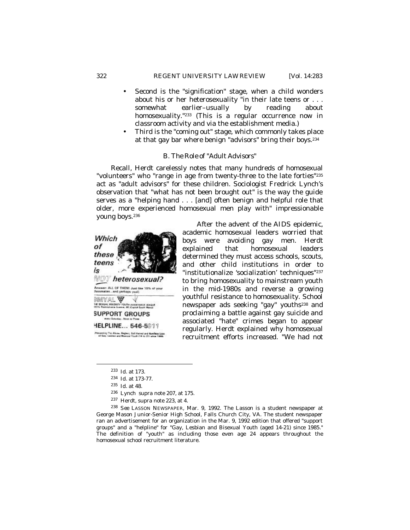- Second is the "signification" stage, when a child wonders about his or her heterosexuality "in their late teens or . . . somewhat earlier–usually by reading about homosexuality."<sup>233</sup> (This is a regular occurrence now in classroom activity and via the establishment media.)
- Third is the "coming out" stage, which commonly takes place at that gay bar where benign "advisors" bring their boys.<sup>234</sup>

## *B. The Role of "Adult Advisors"*

Recall, Herdt carelessly notes that many hundreds of homosexual "volunteers" who "range in age from twenty-three to the late forties"<sup>235</sup> act as "adult advisors" for these children. Sociologist Fredrick Lynch's observation that "what has not been brought out" is the way the guide serves as a "helping hand . . . [and] often benign and helpful role that older, more experienced homosexual men play with" impressionable young boys.<sup>236</sup>



After the advent of the AIDS epidemic, academic homosexual leaders worried that boys were avoiding gay men. Herdt explained that homosexual leaders determined they must access schools, scouts, and other child institutions in order to "institutionalize 'socialization' techniques"<sup>237</sup> to bring homosexuality to mainstream youth in the mid-1980s and reverse a growing youthful resistance to homosexuality. School newspaper ads seeking "gay" youths238 and proclaiming a battle against gay suicide and associated "hate" crimes began to appear regularly. Herdt explained why homosexual recruitment efforts increased. "We had not

-

<sup>237</sup> Herdt, *supra* note 223, at 4.

<sup>233</sup> *Id.* at 173.

<sup>234</sup> *Id*. at 173-77.

<sup>235</sup> *Id.* at 48*.*

<sup>236</sup> Lynch *supra* note 207, at 175.

<sup>238</sup> *See* LASSON NEWSPAPER, Mar. 9, 1992. The Lasson is a student newspaper at George Mason Junior-Senior High School, Falls Church City, VA. The student newspaper ran an advertisement for an organization in the Mar. 9, 1992 edition that offered "support groups" and a "helpline" for "Gay, Lesbian and Bisexual Youth (aged 14-21) since 1985." The definition of "youth" as including those even age 24 appears throughout the homosexual school recruitment literature.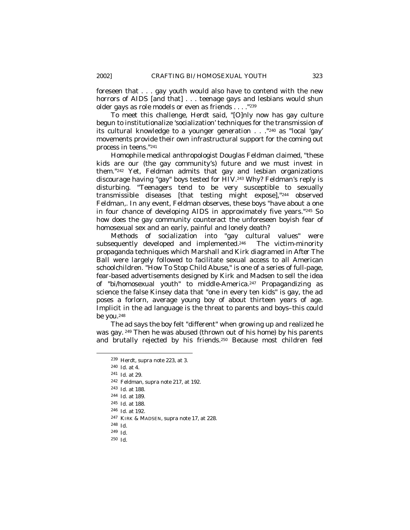foreseen that . . . gay youth would also have to contend with the new horrors of AIDS [and that] . . . teenage gays and lesbians would shun older gays as role models or even as friends . . . ."<sup>239</sup>

To meet this challenge, Herdt said, "[O]nly now has gay culture begun to institutionalize 'socialization' techniques for the transmission of its cultural knowledge to a younger generation . . ."240 as "local 'gay' movements provide their own infrastructural support for the coming out process in teens."<sup>241</sup>

Homophile medical anthropologist Douglas Feldman claimed, "these kids are our (the gay community's) future and we must invest in them."242 Yet, Feldman admits that gay and lesbian organizations discourage having "gay" boys tested for HIV.243 Why? Feldman's reply is disturbing. "Teenagers tend to be very susceptible to sexually transmissible diseases [that testing might expose],"<sup>244</sup> observed Feldman,. In any event, Feldman observes, these boys "have about a one in four chance of developing AIDS in approximately five years."245 So how does the gay community counteract the unforeseen boyish fear of homosexual sex and an early, painful and lonely death?

Methods of socialization into "gay cultural values" were subsequently developed and implemented.246 The victim-minority propaganda techniques which Marshall and Kirk diagramed in *After The Ball* were largely followed to facilitate sexual access to all American schoolchildren. "How To Stop Child Abuse," is one of a series of full-page, fear-based advertisements designed by Kirk and Madsen to sell the idea of "bi/homosexual youth" to middle-America.247 Propagandizing as science the false Kinsey data that "one in every ten kids" is gay, the ad poses a forlorn, average young boy of about thirteen years of age. Implicit in the ad language is the threat to parents and boys–this could be you.<sup>248</sup>

The ad says the boy felt "different" when growing up and realized he was gay. <sup>249</sup> Then he was abused (thrown out of his home) by his parents and brutally rejected by his friends.250 Because most children feel

<sup>239</sup> Herdt, *supra* note 223, at 3.

<sup>240</sup> *Id*. at 4.

<sup>241</sup> *Id*. at 29.

<sup>242</sup> Feldman, *supra* note 217, at 192.

<sup>243</sup> *Id*. at 188.

<sup>244</sup> *Id*. at 189.

<sup>245</sup> *Id*. at 188.

<sup>246</sup> *Id.* at 192.

<sup>247</sup> KIRK & MADSEN, *supra* note 17, at 228.

<sup>248</sup> *Id*.

<sup>249</sup> *Id*.

<sup>250</sup> *Id*.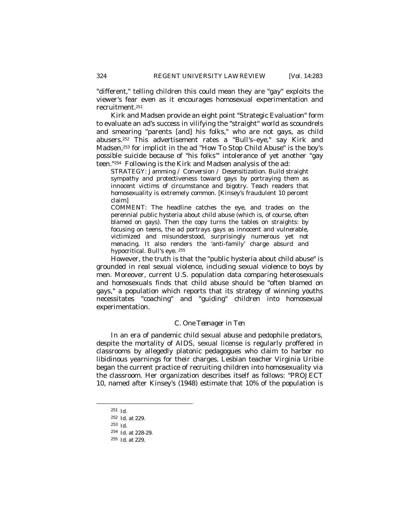"different," telling children this could mean they are "gay" exploits the viewer's fear even as it encourages homosexual experimentation and recruitment.<sup>251</sup>

Kirk and Madsen provide an eight point "Strategic Evaluation" form to evaluate an ad's success in vilifying the "straight" world as scoundrels and smearing "parents [and] his folks," who are not gays, as child abusers.252 This advertisement rates a "Bull's–eye," say Kirk and Madsen,253 for implicit in the ad "How To Stop Child Abuse" is the boy's possible suicide because of "his folks'" intolerance of yet another "gay teen."254 Following is the Kirk and Madsen analysis of the ad:

STRATEGY: J*amming / Conversion / Desensitization.* Build straight sympathy and protectiveness toward gays by portraying them as innocent victims of circumstance and bigotry. Teach readers that homosexuality is extremely common. [Kinsey's fraudulent 10 percent claim]

COMMENT: The headline catches the eye, and trades on the perennial public hysteria about child abuse (which is, of course, often blamed on gays). Then the copy turns the tables on straights: by focusing on teens, the ad portrays gays as innocent and vulnerable, victimized and misunderstood, surprisingly numerous yet not menacing. It also renders the 'anti-family' charge absurd and hypocritical. Bull's eye. <sup>255</sup>

However, the truth is that the "public hysteria about child abuse" is grounded in real sexual violence, including sexual violence to boys by men. Moreover, current U.S. population data comparing heterosexuals and homosexuals finds that child abuse *should be* "often blamed on gays," a population which reports that its strategy of winning youths necessitates "coaching" and "guiding" children into homosexual experimentation.

## *C. One Teenager in Ten*

In an era of pandemic child sexual abuse and pedophile predators, despite the mortality of AIDS, sexual license is regularly proffered in classrooms by allegedly platonic pedagogues who claim to harbor no libidinous yearnings for their charges. Lesbian teacher Virginia Uribie began the current practice of recruiting children into homosexuality via the classroom. Her organization describes itself as follows: "PROJECT 10, named after Kinsey's (1948) estimate that 10% of the population is

<sup>251</sup> *Id.* 

<sup>252</sup> *Id*. at 229.

<sup>253</sup> *Id*.

<sup>254</sup> *Id*. at 228-29.

<sup>255</sup> *Id*. at 229.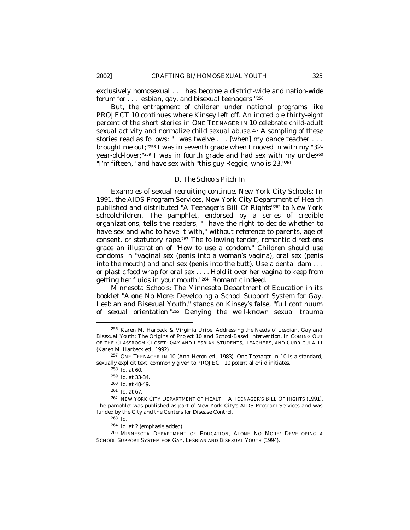exclusively homosexual . . . has become a district-wide and nation-wide forum for . . . lesbian, gay, and bisexual teenagers."<sup>256</sup>

But, the entrapment of children under national programs like PROJECT 10 continues where Kinsey left off. An incredible thirty-eight percent of the short stories in ONE TEENAGER IN 10 celebrate child-adult sexual activity and normalize child sexual abuse.257 A sampling of these stories read as follows: "I was twelve . . . [when] my dance teacher . . . brought me out;"258 I was in seventh grade when I moved in with my "32 year-old-lover;"259 I was in fourth grade and had sex with my uncle;<sup>260</sup> "I'm fifteen," and have sex with "this guy Reggie, who is 23."<sup>261</sup>

#### *D. The Schools Pitch In*

Examples of sexual recruiting continue. New York City Schools: In 1991, the AIDS Program Services, New York City Department of Health published and distributed "A Teenager's Bill Of Rights"262 to New York schoolchildren. The pamphlet, endorsed by a series of credible organizations, tells the readers, "I have the right to decide whether to have sex and who to have it with," without reference to parents, age of consent, or statutory rape.263 The following tender, romantic directions grace an illustration of "How to use a condom." Children should use condoms in "vaginal sex (penis into a woman's vagina), oral sex (penis into the mouth) and anal sex (penis into the butt). Use a dental dam . . . *or plastic food wrap* for oral sex . . . . Hold it over her vagina to keep from getting her fluids in your mouth."264 Romantic indeed.

Minnesota Schools: The Minnesota Department of Education in its booklet "Alone No More: Developing a School Support System for Gay, Lesbian and Bisexual Youth," stands on Kinsey's false, "full continuum of sexual orientation."265 Denying the well-known sexual trauma

<sup>256</sup> Karen M. Harbeck & Virginia Uribe, *Addressing the Needs of Lesbian, Gay and Bisexual Youth: The Origins of Project 10 and School-Based Intervention*, *in* COMING OUT OF THE CLASSROOM CLOSET: GAY AND LESBIAN STUDENTS, TEACHERS, AND CURRICULA 11 (Karen M. Harbeck ed., 1992).

<sup>257</sup> ONE TEENAGER IN 10 (Ann Heron ed., 1983). *One Teenager in 10* is a standard, sexually explicit text, commonly given to PROJECT 10 potential child initiates.

<sup>258</sup> *Id*. at 60.

<sup>259</sup> *Id*. at 33-34.

<sup>260</sup> *Id*. at 48-49.

<sup>261</sup> *Id*. at 67.

<sup>262</sup> NEW YORK CITY DEPARTMENT OF HEALTH, A TEENAGER'S BILL OF RIGHTS (1991). The pamphlet was published as part of New York City's AIDS Program Services and was funded by the City and the Centers for Disease Control.

<sup>263</sup> *Id*.

<sup>264</sup> *Id*. at 2 (emphasis added).

<sup>265</sup> MINNESOTA DEPARTMENT OF EDUCATION, ALONE NO MORE: DEVELOPING A SCHOOL SUPPORT SYSTEM FOR GAY, LESBIAN AND BISEXUAL YOUTH (1994).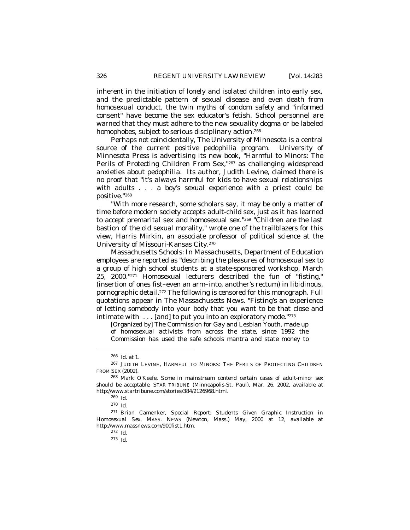inherent in the initiation of lonely and isolated children into early sex, and the predictable pattern of sexual disease and even death from homosexual conduct, the twin myths of condom safety and "informed consent" have become the sex educator's fetish. School personnel are warned that they must adhere to the new sexuality dogma or be labeled homophobes, subject to serious disciplinary action.<sup>266</sup>

Perhaps not coincidentally, The University of Minnesota is a central source of the current positive pedophilia program. University of Minnesota Press is advertising its new book, "Harmful to Minors: The Perils of Protecting Children From Sex,"267 as challenging widespread anxieties about pedophilia. Its author, Judith Levine, claimed there is no proof that "it's always harmful for kids to have sexual relationships with adults . . . a boy's sexual experience with a priest could be positive."<sup>268</sup>

"With more research, some scholars say, it may be only a matter of time before modern society accepts adult-child sex, just as it has learned to accept premarital sex and homosexual sex."269 "Children are the last bastion of the old sexual morality," wrote one of the trailblazers for this view, Harris Mirkin, an associate professor of political science at the University of Missouri-Kansas City.<sup>270</sup>

Massachusetts Schools: In Massachusetts, Department of Education employees are reported as "describing the pleasures of homosexual sex to a group of high school students at a state-sponsored workshop, March 25, 2000."271 Homosexual lecturers described the fun of "fisting," (insertion of ones fist–even an arm–into, another's rectum) in libidinous, pornographic detail.272 The following is censored for this monograph. Full quotations appear in *The Massachusetts News*. "Fisting's an experience of letting somebody into your body that you want to be that close and intimate with . . . [and] to put you into an exploratory mode."<sup>273</sup>

[Organized by] The Commission for Gay and Lesbian Youth, made up of homosexual activists from across the state, since 1992 the Commission has used the safe schools mantra and state money to

<sup>266</sup> *Id*. at 1.

<sup>267</sup> JUDITH LEVINE, HARMFUL TO MINORS: THE PERILS OF PROTECTING CHILDREN FROM SEX (2002).

<sup>268</sup> Mark O'Keefe, *Some in mainstream contend certain cases of adult-minor sex should be acceptable*, STAR TRIBUNE (Minneapolis-St. Paul), Mar. 26, 2002, *available at* http://www.startribune.com/stories/384/2126968.html.

<sup>269</sup> *Id*.

<sup>270</sup> *Id*.

<sup>271</sup> Brian Camenker, *Special Report: Students Given Graphic Instruction in Homosexual Sex*, MASS. NEWS (Newton, Mass.) May, 2000 at 12, *available at* http://www.massnews.com/900fist1.htm.

<sup>272</sup> *Id*.

<sup>273</sup> *Id*.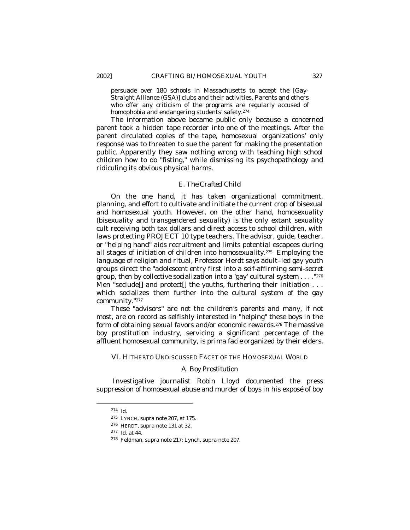persuade over 180 schools in Massachusetts to accept the [Gay-Straight Alliance (GSA)] clubs and their activities. Parents and others who offer any criticism of the programs are regularly accused of homophobia and endangering students' safety.<sup>274</sup>

The information above became public only because a concerned parent took a hidden tape recorder into one of the meetings. After the parent circulated copies of the tape, homosexual organizations' only response was to threaten to sue the parent for making the presentation public. Apparently they saw nothing wrong with teaching high school children how to do "fisting," while dismissing its psychopathology and ridiculing its obvious physical harms.

# *E. The Crafted Child*

On the one hand, it has taken organizational commitment, planning, and effort to cultivate and initiate the current crop of bisexual and homosexual youth. However, on the other hand, homosexuality (bisexuality and transgendered sexuality) is the only extant sexuality cult receiving both tax dollars and direct access to school children, with laws protecting PROJECT 10 type teachers. The advisor, guide, teacher, or "helping hand" aids recruitment and limits potential escapees during all stages of initiation of children into homosexuality.275 Employing the language of religion and ritual, Professor Herdt says adult–led gay youth groups direct the "*adolescent entry first into a self-affirming semi-secret group, then by collective socialization* into a 'gay' cultural system . . . ."<sup>276</sup> Men "seclude[] and protect[] the youths, furthering their initiation . . . which socializes them further into the cultural system of the gay community."<sup>277</sup>

These "advisors" are not the children's parents and many, if not most, are on record as selfishly interested in "helping" these boys in the form of obtaining sexual favors and/or economic rewards.278 The massive boy prostitution industry, servicing a significant percentage of the affluent homosexual community, is *prima facie* organized by their elders.

VI. HITHERTO UNDISCUSSED FACET OF THE HOMOSEXUAL WORLD

#### *A. Boy Prostitution*

 Investigative journalist Robin Lloyd documented the press suppression of homosexual abuse and murder of boys in his exposé of boy

<sup>274</sup> *Id*.

<sup>275</sup> LYNCH, *supra* note 207, at 175.

<sup>276</sup> HERDT, *supra* note 131 at 32.

<sup>277</sup> *Id*. at 44.

<sup>278</sup> Feldman, *supra* note 217; Lynch, *supra* note 207.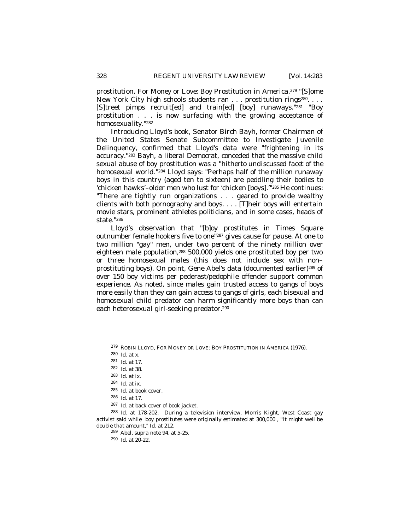prostitution, *For Money or Love: Boy Prostitution in America*. <sup>279</sup> "[S]ome New York City high schools students ran . . . prostitution rings<sup>280</sup>. . . . [S]treet pimps recruit[ed] and train[ed] [boy] runaways."281 "Boy prostitution . . . is now surfacing with the growing acceptance of homosexuality."<sup>282</sup>

Introducing Lloyd's book, Senator Birch Bayh, former Chairman of the United States Senate Subcommittee to Investigate Juvenile Delinquency, confirmed that Lloyd's data were "frightening in its accuracy."283 Bayh, a liberal Democrat, conceded that the massive child sexual abuse of boy prostitution was *a "hitherto undiscussed facet of the homosexual world."*284 Lloyd says: "Perhaps half of the million runaway boys in this country (aged ten to sixteen) are peddling their bodies to 'chicken hawks'–older men who lust for 'chicken [boys].'"<sup>285</sup> He continues: "There are tightly run organizations . . . geared to provide wealthy clients with both pornography and boys. . . . [T]heir boys will entertain movie stars, prominent athletes politicians, and in some cases, heads of state."<sup>286</sup>

Lloyd's observation that "[b]oy prostitutes in Times Square outnumber female hookers five to one"287 gives cause for pause. At one to two million "gay" men, under two percent of the ninety million over eighteen male population,<sup>288</sup> 500,000 yields one prostituted boy per two or three homosexual males (this does not include sex with non– prostituting boys). On point, Gene Abel's data (documented earlier)289 of over 150 boy victims per pederast/pedophile offender support common experience. As noted, since males gain trusted access to gangs of boys more easily than they can gain access to gangs of girls, each bisexual and homosexual child predator can harm significantly more boys than can each heterosexual girl-seeking predator.<sup>290</sup>

<sup>279</sup> ROBIN LLOYD, FOR MONEY OR LOVE: BOY PROSTITUTION IN AMERICA (1976).

<sup>280</sup> *Id*. at x.

<sup>281</sup> *Id.* at 17.

<sup>282</sup> *Id.* at 38.

<sup>283</sup> *Id.* at ix.

<sup>284</sup> *Id*. at ix.

<sup>285</sup> *Id.* at book cover.

<sup>286</sup> *Id.* at 17.

<sup>287</sup> *Id.* at back cover of book jacket.

<sup>288</sup> *Id.* at 178-202. During a television interview, Morris Kight, West Coast gay activist said while boy prostitutes were originally estimated at 300,000 , "It might well be double that amount," *Id.* at 212.

<sup>289</sup> Abel, *supra* note 94, at 5-25.

<sup>290</sup> *Id.* at 20-22.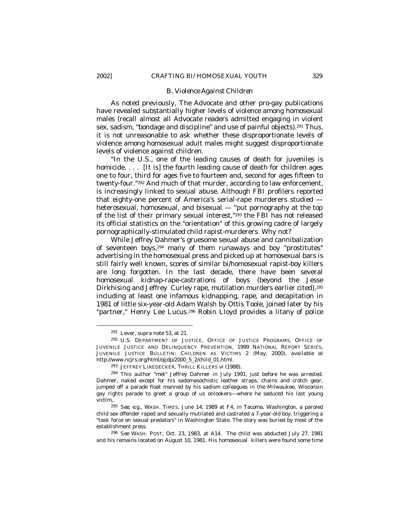#### *B. Violence Against Children*

As noted previously, *The Advocate* and other pro-gay publications have revealed substantially higher levels of violence among homosexual males (recall almost all *Advocate* readers admitted engaging in violent sex, sadism, "bondage and discipline" and use of painful objects).<sup>291</sup> Thus, it is not unreasonable to ask whether these disproportionate levels of violence among homosexual adult males might suggest disproportionate levels of violence against children.

"In the U.S., one of the leading causes of death for juveniles is homicide. ... [It is] the fourth leading cause of death for children ages one to four, third for ages five to fourteen and, second for ages fifteen to twenty-four."292 And much of that murder, according to law enforcement, is increasingly linked to sexual abuse. Although FBI profilers reported that eighty-one percent of America's serial-rape murderers studied heterosexual, homosexual, and bisexual — "put pornography at the top of the list of their primary sexual interest,"293 the FBI has not released its official statistics on the "orientation" of this growing cadre of largely pornographically-stimulated child rapist-murderers. Why not?

While Jeffrey Dahmer's gruesome sexual abuse and cannibalization of seventeen boys,294 many of them runaways and boy "prostitutes" advertising in the homosexual press and picked up at homosexual bars is still fairly well known, scores of similar bi/homosexual rapist-boy killers are long forgotten. In the last decade, there have been several homosexual kidnap-rape-castrations of boys (beyond the Jesse Dirkhising and Jeffrey Curley rape, mutilation murders earlier cited),<sup>295</sup> including at least one infamous kidnapping, rape, and decapitation in 1981 of little six-year-old Adam Walsh by Ottis Toole, joined later by his "partner," Henry Lee Lucus.<sup>296</sup> Robin Lloyd provides a litany of police

<sup>291</sup> Lever, *supra* note 53, at 21.

<sup>292</sup> U.S. DEPARTMENT OF JUSTICE, OFFICE OF JUSTICE PROGRAMS, OFFICE OF JUVENILE JUSTICE AND DELINQUENCY PREVENTION, 1999 NATIONAL REPORT SERIES, JUVENILE JUSTICE BULLETIN: CHILDREN AS VICTIMS 2 (May, 2000), *available at* http://www.ncjrs.org/html/ojjdp/2000\_5\_2/child\_01.html.

<sup>293</sup> JEFFREY LINEDECKER, THRILL KILLERS vi (1988)*.*

<sup>294</sup> This author "met" Jeffrey Dahmer in July 1991, just before he was arrested. Dahmer, naked except for his sadomasochistic leather straps, chains and crotch gear, jumped off a parade float manned by his sadism colleagues in the Milwaukee, Wisconsin gay rights parade to greet a group of us onlookers—where he seduced his last young victim,.

<sup>295</sup> *See, e.g*., WASH. TIMES, June 14, 1989 at F4, in Tacoma, Washington, a paroled child sex offender raped and sexually mutilated and castrated a 7-year-old boy, triggering a "task force on sexual predators" in Washington State. The story was buried by most of the establishment press.

<sup>296</sup> *See* WASH. POST, Oct. 23, 1983, at A14. The child was abducted July 27, 1981 and his remains located on August 10, 1981. His homosexual killers were found some time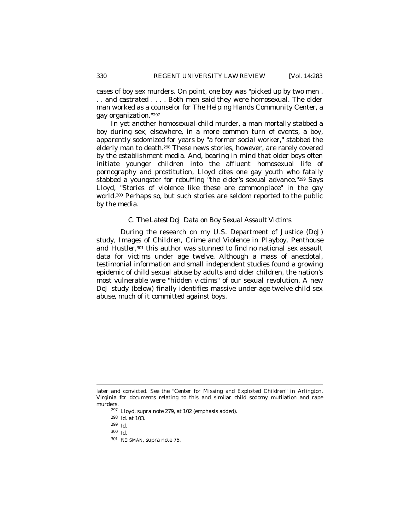cases of boy sex murders. On point, one boy was "picked up by two men . . . and castrated . . . . Both men said they were homosexual. The older man worked as a counselor for *The Helping Hands* Community Center, a gay organization."<sup>297</sup>

In yet another homosexual-child murder, a man mortally stabbed a boy during sex; elsewhere, in a more common turn of events, a boy, apparently sodomized for years by "a former social worker," stabbed the elderly man to death.298 These news stories, however, are rarely covered by the establishment media. And, bearing in mind that older boys often initiate younger children into the affluent homosexual life of pornography and prostitution, Lloyd cites one gay youth who fatally stabbed a youngster for rebuffing "the elder's sexual advance."299 Says Lloyd, "Stories of violence like these are commonplace" in the gay world.300 Perhaps so, but such stories are seldom reported to the public by the media.

## *C. The Latest DoJ Data on Boy Sexual Assault Victims*

During the research on my U.S. Department of Justice (DoJ) study, *Images of Children, Crime and Violence in Playboy, Penthouse and Hustle*r,301 this author was stunned to find no national sex assault data for victims under age twelve. Although a mass of anecdotal, testimonial information and small independent studies found a growing epidemic of child sexual abuse by adults and older children, the nation's most vulnerable were "hidden victims" of our sexual revolution. A new DoJ study (below) finally identifies massive under-age-twelve child sex abuse, much of it committed against boys.

- <sup>297</sup> Lloyd, *supra* note 279, at 102 (emphasis added).
- <sup>298</sup> *Id.* at 103.
- <sup>299</sup> *Id.*

-

<sup>300</sup> *Id*.

later and convicted. *See* the "Center for Missing and Exploited Children" in Arlington, Virginia for documents relating to this and similar child sodomy mutilation and rape murders.

<sup>301</sup> REISMAN, *supra* note 75.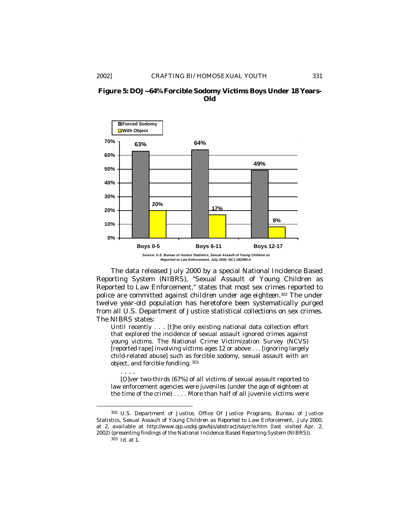



The data released July 2000 by a special National Incidence Based Reporting System (NIBRS), "Sexual Assault of Young Children as Reported to Law Enforcement," states that most sex crimes reported to police are committed against *children under age eighteen*. <sup>302</sup> The under twelve year-old population has heretofore been systematically purged from all U.S. Department of Justice statistical collections on sex crimes. The NIBRS states:

Until recently . . . [t]he only existing national data collection effort that explored the incidence of sexual assault ignored crimes against young victims. The National Crime Victimization Survey (NCVS) [reported rape] involving victims ages 12 or above . . . [ignoring largely child-related abuse] such as forcible sodomy, sexual assault with an object, and forcible fondling. <sup>303</sup>

[O]ver two-thirds (67%) of all victims of sexual assault reported to law enforcement agencies were juveniles (under the age of eighteen at the time of the crime) . . . . More than half of all juvenile victims were

. . . .

1

<sup>302</sup> U.S. Department of Justice, Office Of Justice Programs, Bureau of Justice Statistics, *Sexual Assault of Young Children as Reported to Law Enforcement*, July 2000, at 2, *available at* http://www.ojp.usdoj.gov/bjs/abstract/saycrle.htm (last visited Apr. 2, 2002) (presenting findings of the National Incidence Based Reporting System (NIBRS)).

<sup>303</sup> *Id*. at 1.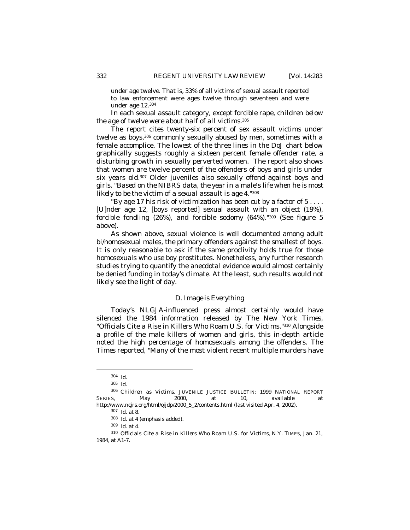under age twelve. That is, 33% of all victims of sexual assault reported to law enforcement were ages twelve through seventeen and were under age 12.<sup>304</sup>

In each sexual assault category, except forcible rape*, children below the age of twelve were about half of all victims*. 305

The report cites twenty-six percent of sex assault victims under twelve as boys,<sup>306</sup> commonly sexually abused by men, sometimes with a female accomplice. The lowest of the three lines in the DoJ chart below graphically suggests roughly a sixteen percent female offender rate, a disturbing growth in sexually perverted women. The report also shows that women are twelve percent of the offenders of boys and girls under six years old.307 Older juveniles also sexually offend against boys and girls. *"Based on the NIBRS data, the year in a male's life when he is most likely to be the victim of a sexual assault is age 4.*" 308

"By age 17 his risk of victimization has been cut by a factor of 5 . . . . [U]nder age 12, [boys reported] sexual assault with an object (19%), forcible fondling (26%), *and forcible sodomy (64%)*."309 (See figure 5 above).

As shown above, sexual violence is well documented among adult bi/homosexual males, the primary offenders against the smallest of boys. It is only reasonable to ask if the same proclivity holds true for those homosexuals who use boy prostitutes. Nonetheless, any further research studies trying to quantify the anecdotal evidence would almost certainly be denied funding in today's climate. At the least, such results would not likely see the light of day.

### *D. Image is Everything*

Today's NLGJA-influenced press almost certainly would have silenced the 1984 information released by *The New York Times,* "Officials Cite a Rise in Killers Who Roam U.S. for Victims."310 Alongside a profile of the male killers of women and girls, this in-depth article noted the high percentage of homosexuals among the offenders. The *Times* reported, "Many of the most violent recent multiple murders have

<sup>304</sup> *Id*.

<sup>305</sup> *Id*.

<sup>306</sup> *Children as Victims*, JUVENILE JUSTICE BULLETIN: 1999 NATIONAL REPORT SERIES, May 2000, at 10, *available at* http://www.ncjrs.org/html/ojjdp/2000\_5\_2/contents.html (last visited Apr. 4, 2002).

<sup>307</sup> *Id*. at 8.

<sup>308</sup> *Id*. at 4 (emphasis added).

<sup>309</sup> *Id*. at 4.

<sup>310</sup> *Officials Cite a Rise in Killers Who Roam U.S. for Victims*, N.Y. TIMES, Jan. 21, 1984, at A1-7.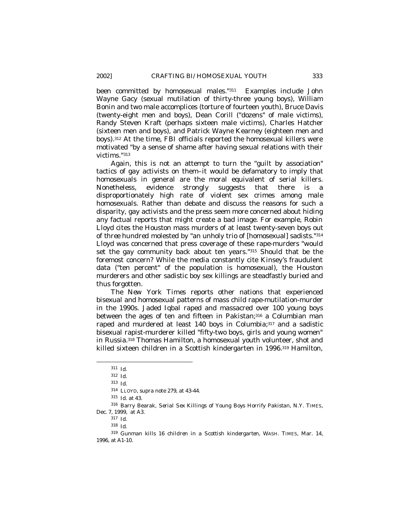been committed by homosexual males."311 Examples include John Wayne Gacy (sexual mutilation of thirty-three young boys), William Bonin and two male accomplices (torture of fourteen youth), Bruce Davis (twenty-eight men and boys), Dean Corill ("dozens" of male victims), Randy Steven Kraft (perhaps sixteen male victims), Charles Hatcher (sixteen men and boys), and Patrick Wayne Kearney (eighteen men and boys).312 At the time, FBI officials reported the homosexual killers were motivated "by a sense of shame after having sexual relations with their victims."<sup>313</sup>

Again, this is not an attempt to turn the "guilt by association" tactics of gay activists on them–it would be defamatory to imply that homosexuals in general are the moral equivalent of serial killers. Nonetheless, evidence strongly suggests that there is a disproportionately high rate of violent sex crimes among male homosexuals. Rather than debate and discuss the reasons for such a disparity, gay activists and the press seem more concerned about hiding any factual reports that might create a bad image. For example, Robin Lloyd cites the Houston mass murders of at least twenty-seven boys *out of three hundred* molested by "an unholy trio of [homosexual] sadists."<sup>314</sup> Lloyd was concerned that press coverage of these rape-murders "would set the gay community back about ten years."315 Should that be the foremost concern? While the media constantly cite Kinsey's fraudulent data ("ten percent" of the population is homosexual), the Houston murderers and other sadistic boy sex killings are steadfastly buried and thus forgotten.

*The New York Times* reports other nations that experienced bisexual and homosexual patterns of mass child rape-mutilation-murder in the 1990s. Jaded Iqbal raped and massacred over 100 young boys between the ages of ten and fifteen in Pakistan;<sup>316</sup> a Columbian man raped and murdered at least 140 boys in Columbia;<sup>317</sup> and a sadistic bisexual rapist-murderer killed "fifty-two boys, girls and young women" in Russia.318 Thomas Hamilton, a homosexual youth volunteer, shot and killed sixteen children in a Scottish kindergarten in 1996.319 Hamilton,

<sup>311</sup> *Id*.

<sup>312</sup> *Id*.

<sup>313</sup> *Id.*

<sup>314</sup> LLOYD, *supra* note 279, at 43-44.

<sup>315</sup> *Id*. at 43.

<sup>316</sup> Barry Bearak, *Serial Sex Killings of Young Boys Horrify Pakistan*, N.Y. TIMES, Dec. 7, 1999, at A3.

<sup>317</sup> *Id*.

<sup>318</sup> *Id*.

<sup>319</sup> *Gunman kills 16 children in a Scottish kindergarten*, WASH. TIMES, Mar. 14, 1996, at A1-10.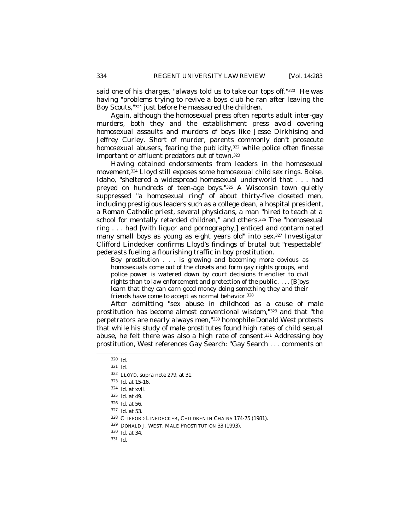said one of his charges, "always *told* us to take our tops off."<sup>320</sup> He was having "problems trying to revive a boys club he ran after leaving the Boy Scouts,"321 just before he massacred the children.

Again, although the homosexual press often reports adult inter-gay murders, both they and the establishment press avoid covering homosexual assaults and murders of boys like Jesse Dirkhising and Jeffrey Curley. Short of murder, parents commonly don't prosecute homosexual abusers, fearing the publicity,<sup>322</sup> while police often finesse important or affluent predators out of town.<sup>323</sup>

Having obtained endorsements from leaders in the homosexual movement,324 Lloyd still exposes some homosexual child sex rings. Boise, Idaho, "sheltered a widespread homosexual underworld that . . . had preyed on hundreds of teen-age boys."325 A Wisconsin town quietly suppressed "a homosexual ring" of about thirty-five closeted men, including prestigious leaders such as a college dean, a hospital president, a Roman Catholic priest, several physicians, a man "hired to teach at a school for mentally retarded children," and others.326 The "homosexual ring . . . had [with liquor and pornography,] enticed and contaminated many small boys as young as eight years old" into sex.327 Investigator Clifford Lindecker confirms Lloyd's findings of brutal but "respectable" pederasts fueling a flourishing traffic in boy prostitution.

Boy prostitution . . . is growing and becoming more obvious as homosexuals come out of the closets and form gay rights groups, and police power is watered down by court decisions friendlier to civil rights than to law enforcement and protection of the public . . . . [B]oys learn that they can earn good money doing something they and their friends have come to accept as normal behavior.<sup>328</sup>

After admitting "sex abuse in childhood as a cause of male prostitution has become almost conventional wisdom,"329 and that "the perpetrators are nearly always men,"330 homophile Donald West protests that while his study of male prostitutes found high rates of child sexual abuse, he felt there was also a high rate of consent.331 Addressing boy prostitution, West references Gay Search: "Gay Search . . . comments on

-

<sup>329</sup> DONALD J. WEST, MALE PROSTITUTION 33 (1993).

<sup>320</sup> *Id*.

<sup>321</sup> *Id.*

<sup>322</sup> LLOYD, *supra* note 279, at 31.

<sup>323</sup> *Id.* at 15-16.

<sup>324</sup> *Id.* at xvii.

<sup>325</sup> *Id*. at 49.

<sup>326</sup> *Id*. at 56.

<sup>327</sup> *Id*. at 53.

<sup>328</sup> CLIFFORD LINEDECKER, CHILDREN IN CHAINS 174-75 (1981).

<sup>330</sup> *Id*. at 34.

<sup>331</sup> *Id*.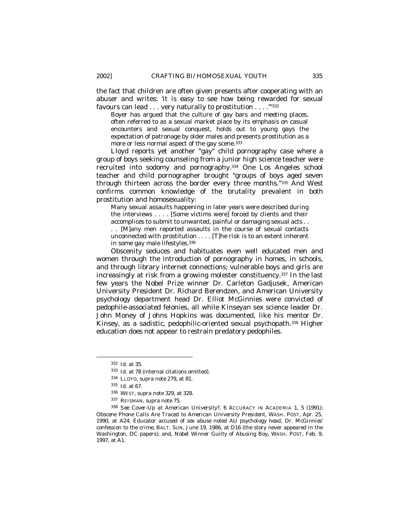the fact that children are often given presents after cooperating with an abuser and writes: 'it is easy to see how being rewarded for sexual favours can lead . . . very naturally to prostitution . . . .'"<sup>332</sup>

Boyer has argued that the culture of gay bars and meeting places, often referred to as a sexual market place by its emphasis on casual encounters and sexual conquest, holds out to young gays the expectation of patronage by older males and presents prostitution as a more or less normal aspect of the gay scene.<sup>333</sup>

Lloyd reports yet another "gay" child pornography case where a group of boys seeking counseling from a junior high science teacher were recruited into sodomy and pornography.334 One Los Angeles school teacher and child pornographer brought "groups of boys aged seven through thirteen across the border every three months."335 And West confirms common knowledge of the brutality prevalent in both prostitution and homosexuality:

Many sexual assaults happening in later years were described during the interviews . . . . [Some victims were] forced by clients and their accomplices to submit to unwanted, painful or damaging sexual acts . . . . [M]any men reported assaults in the course of sexual contacts unconnected with prostitution . . . . [T]he risk is to an extent inherent in some gay male lifestyles.<sup>336</sup>

Obscenity seduces and habituates even well educated men and women through the introduction of pornography in homes, in schools, and through library internet connections; vulnerable boys and girls are increasingly at risk from a growing molester constituency.<sup>337</sup> In the last few years the Nobel Prize winner Dr. Carleton Gadjusek, American University President Dr. Richard Berendzen, and American University psychology department head Dr. Elliot McGinnies were convicted of pedophile-associated felonies, all while Kinseyan sex science leader Dr. John Money of Johns Hopkins was documented, like his mentor Dr. Kinsey, as a sadistic, pedophilic-oriented sexual psychopath.338 Higher education does not appear to restrain predatory pedophiles.

<sup>332</sup> *Id*. at 35.

<sup>333</sup> *Id*. at 78 (internal citations omitted).

<sup>334</sup> LLOYD, *supra* note 279, at 81.

<sup>335</sup> *Id*. at 67.

<sup>336</sup> WEST, *supra* note 329, at 328.

<sup>337</sup> REISMAN, *supra* note 75.

<sup>338</sup> *See Cover-Up at American University*?, 6 ACCURACY IN ACADEMIA 1, 5 (1991); *Obscene Phone Calls Are Traced to American University President*, WASH. POST, Apr. 25, 1990, at A24; *Educator accused of sex abuse noted AU psychology head, Dr. McGinnies' confession to the crime*, BALT. SUN, June 19, 1986, at D16 (the story never appeared in the Washington, DC papers); and, *Nobel Winner Guilty of Abusing Boy*, WASH. POST, Feb. 9, 1997, at A1.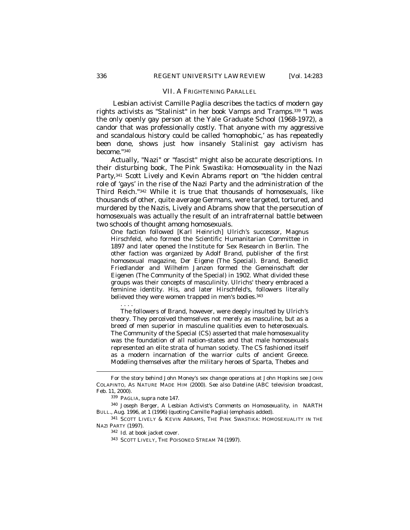## VII. A FRIGHTENING PARALLEL

 Lesbian activist Camille Paglia describes the tactics of modern gay rights activists as "Stalinist" in her book *Vamps and Tramps*. <sup>339</sup> "I was the only openly gay person at the Yale Graduate School (1968-1972), a candor that was professionally costly. That anyone with my aggressive and scandalous history could be called 'homophobic,' as has repeatedly been done, shows just how insanely *Stalinist* gay activism has become."<sup>340</sup>

Actually, "Nazi" or "fascist" might also be accurate descriptions. In their disturbing book, *The Pink Swastika: Homosexuality in the Nazi Party,*<sup>341</sup> Scott Lively and Kevin Abrams report on "the hidden central role of 'gays' in the rise of the Nazi Party and the administration of the Third Reich."342 While it is true that thousands of homosexuals, like thousands of other, quite average Germans, were targeted, tortured, and murdered by the Nazis, Lively and Abrams show that the persecution of homosexuals was actually the result of an intrafraternal battle between two schools of thought among homosexuals.

One faction followed [Karl Heinrich] Ulrich's successor, Magnus Hirschfeld, who formed the Scientific Humanitarian Committee in 1897 and later opened the Institute for Sex Research in Berlin. The other faction was organized by Adolf Brand, publisher of the first homosexual magazine, *Der Eigene* (The Special). Brand, Benedict Friedlander and Wilhelm Janzen formed the Gemeinschaft der Eigenen (The Community of the Special) in 1902. What divided these groups was their concepts of masculinity. Ulrichs' theory embraced a feminine identity. His, and later Hirschfeld's, followers literally believed they were women trapped in men's bodies.<sup>343</sup>

The followers of Brand, however, were deeply insulted by Ulrich's theory. They perceived themselves not merely as masculine, but as a breed of men superior in masculine qualities even to heterosexuals. The Community of the Special (CS) asserted that male homosexuality was the foundation of all nation-states and that male homosexuals represented an elite strata of human society. The CS fashioned itself as a modern incarnation of the warrior cults of ancient Greece. Modeling themselves after the military heroes of Sparta, Thebes and

. . . .

 $\overline{a}$ 

<sup>341</sup> SCOTT LIVELY & KEVIN ABRAMS, THE PINK SWASTIKA: HOMOSEXUALITY IN THE NAZI PARTY (1997).

<sup>342</sup> *Id*. at book jacket cover.

For the story behind John Money's sex change operations at John Hopkins see JOHN COLAPINTO, AS NATURE MADE HIM (2000). *See also Dateline* (ABC television broadcast, Feb. 11, 2000).

<sup>339</sup> PAGLIA, *supra* note 147.

<sup>340</sup> Joseph Berger, *A Lesbian Activist's Comments on Homosexuality*, *in* NARTH BULL., Aug. 1996, at 1 (1996) (quoting Camille Paglia) (emphasis added).

<sup>343</sup> SCOTT LIVELY, THE POISONED STREAM 74 (1997).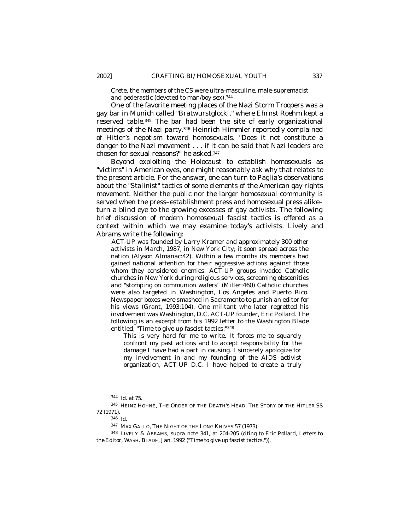Crete, the members of the CS were ultra-masculine, male-supremacist and pederastic (devoted to man/boy sex).<sup>344</sup>

One of the favorite meeting places of the Nazi Storm Troopers was a gay bar in Munich called "Bratwurstglockl," where Ehrnst Roehm kept a reserved table.345 The bar had been the site of early organizational meetings of the Nazi party.346 Heinrich Himmler reportedly complained of Hitler's nepotism toward homosexuals. "Does it not constitute a danger to the Nazi movement . . . if it can be said that Nazi leaders are chosen for sexual reasons?" he asked.<sup>347</sup>

Beyond exploiting the Holocaust to establish homosexuals as "victims" in American eyes, one might reasonably ask why that relates to the present article. For the answer, one can turn to Paglia's observations about the "Stalinist" tactics of some elements of the American gay rights movement. Neither the public nor the larger homosexual community is served when the press–establishment press and homosexual press alike– turn a blind eye to the growing excesses of gay activists. The following brief discussion of modern homosexual fascist tactics is offered as a context within which we may examine today's activists. Lively and Abrams write the following:

ACT-UP was founded by Larry Kramer and approximately 300 other activists in March, 1987, in New York City; it soon spread across the nation *(Alyson Almanac:42)*. Within a few months its members had gained national attention for their aggressive actions against those whom they considered enemies. ACT-UP groups invaded Catholic churches in New York during religious services, screaming obscenities and "stomping on communion wafers" (Miller:460) Catholic churches were also targeted in Washington, Los Angeles and Puerto Rico. Newspaper boxes were smashed in Sacramento to punish an editor for his views (Grant, 1993:104). One militant who later regretted his involvement was Washington, D.C. ACT-UP founder, Eric Pollard. The following is an excerpt from his 1992 letter to the *Washington Blade*  entitled, "Time to give up fascist tactics:"<sup>348</sup>

This is very hard for me to write. It forces me to squarely confront my past actions and to accept responsibility for the damage I have had a part in causing. I sincerely apologize for my involvement in and my founding of the AIDS activist organization, ACT-UP D.C. I have helped to create a truly

<sup>344</sup> *Id*. at 75.

<sup>345</sup> HEINZ HOHNE, THE ORDER OF THE DEATH'S HEAD: THE STORY OF THE HITLER SS 72 (1971).

<sup>346</sup> *Id*.

<sup>347</sup> MAX GALLO, THE NIGHT OF THE LONG KNIVES 57 (1973).

<sup>348</sup> LIVELY & ABRAMS, *supra* note 341, at 204-205 (citing to Eric Pollard, *Letters to the Editor*, WASH. BLADE*,* Jan. 1992 ("Time to give up fascist tactics.")).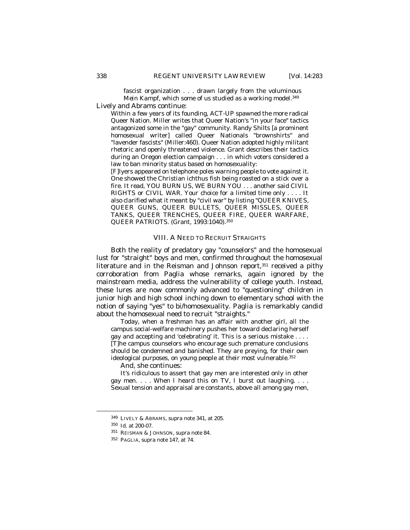fascist organization . . . drawn largely from the voluminous *Mein Kampf*, which some of us studied as a working model.<sup>349</sup>

Lively and Abrams continue:

Within a few years of its founding, ACT-UP spawned the more radical Queer Nation. Miller writes that Queer Nation's "in your face" tactics antagonized some in the "gay" community. Randy Shilts [a prominent homosexual writer] called Queer Nationals "brownshirts" and "lavender fascists" (Miller:460). Queer Nation adopted highly militant rhetoric and openly threatened violence. Grant describes their tactics during an Oregon election campaign . . . in which voters considered a law to ban minority status based on homosexuality:

[F]lyers appeared on telephone poles warning people to vote against it. One showed the Christian ichthus fish being roasted on a stick over a fire. It read, YOU BURN US, WE BURN YOU . . . another said CIVIL RIGHTS or CIVIL WAR. Your choice for a limited time only . . . . It also clarified what it meant by "civil war" by listing "QUEER KNIVES, QUEER GUNS, QUEER BULLETS, QUEER MISSLES, QUEER TANKS, QUEER TRENCHES, QUEER FIRE, QUEER WARFARE, QUEER PATRIOTS. (Grant, 1993:1040).<sup>350</sup>

#### VIII. A NEED TO RECRUIT STRAIGHTS

Both the reality of predatory gay "counselors" and the homosexual lust for "straight" boys and men, confirmed throughout the homosexual literature and in the Reisman and Johnson report,<sup>351</sup> received a pithy corroboration from Paglia whose remarks, again ignored by the mainstream media, address the vulnerability of college youth. Instead, these lures are now commonly advanced to "questioning" children in junior high and high school inching down to elementary school with the notion of saying "yes" to bi/homosexuality. Paglia is remarkably candid about the homosexual need to recruit "straights."

Today, when a freshman has an affair with another girl, all the campus social-welfare machinery pushes her toward declaring herself gay and accepting and 'celebrating' it. This is a serious mistake . . . . [T]he campus counselors who encourage such premature conclusions should be condemned and banished. They are preying, for their own ideological purposes, on young people at their most vulnerable.<sup>352</sup>

And, she continues:

It's ridiculous to assert that gay men are interested only in other gay men.  $\ldots$  When I heard this on TV, I burst out laughing.  $\ldots$ Sexual tension and appraisal are constants, above all among gay men,

<sup>349</sup> LIVELY & ABRAMS, *supra* note 341, at 205.

<sup>350</sup> *Id.* at 200-07.

<sup>351</sup> REISMAN & JOHNSON, *supra* note 84.

<sup>352</sup> PAGLIA, *supra* note 147, at 74.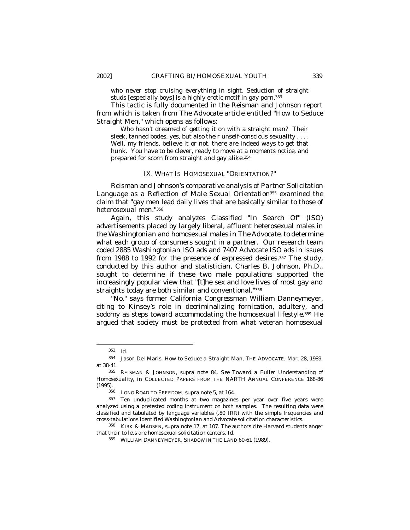who never stop cruising everything in sight. Seduction of straight studs [especially boys] is a highly erotic motif in gay porn.<sup>353</sup>

This tactic is fully documented in the Reisman and Johnson report from which is taken from *The Advocate* article entitled "How to Seduce Straight Men," which opens as follows:

Who hasn't dreamed of getting it on with a straight man? Their sleek, tanned bodes, yes, but also their unself-conscious sexuality . . . . Well, my friends, believe it or not, there are indeed ways to get that hunk. You have to be clever, ready to move at a moments notice, and prepared for scorn from straight and gay alike.<sup>354</sup>

#### IX. WHAT *IS* HOMOSEXUAL "ORIENTATION?"

Reisman and Johnson's comparative analysis of *Partner Solicitation Language as a Reflection of Male Sexual Orientation*355 examined the claim that "gay men lead daily lives that are basically similar to those of heterosexual men."<sup>356</sup>

Again, this study analyzes Classified "In Search Of" (ISO) advertisements placed by largely liberal, affluent heterosexual males in the *Washingtonian* and homosexual males *in The Advocate*, to determine what each group of consumers sought in a partner. Our research team coded 2885 *Washingtonian* ISO ads and 7407 *Advocate* ISO ads in issues from 1988 to 1992 for the presence of expressed desires.<sup>357</sup> The study, conducted by this author and statistician, Charles B. Johnson, Ph.D., sought to determine if these two male populations supported the increasingly popular view that "[t]he sex and love lives of most gay and straights today are both similar and conventional."<sup>358</sup>

"No," says former California Congressman William Danneymeyer, citing to Kinsey's role in decriminalizing fornication, adultery, and sodomy as steps toward accommodating the homosexual lifestyle.<sup>359</sup> He argued that society must be protected from what veteran homosexual

<sup>353</sup> *Id.* 

<sup>354</sup> Jason Del Maris, *How to Seduce a Straight Man*, THE ADVOCATE, Mar. 28, 1989, at 38-41.

<sup>355</sup> REISMAN & JOHNSON, *supra* note 84. *See Toward a Fuller Understanding of Homosexuality*, *in* COLLECTED PAPERS FROM THE NARTH ANNUAL CONFERENCE 168-86 (1995).

<sup>356</sup> LONG ROAD TO FREEDOM, *supra* note 5, at 164.

<sup>&</sup>lt;sup>357</sup> Ten unduplicated months at two magazines per year over five years were analyzed using a pretested coding instrument on both samples. The resulting data were classified and tabulated by language variables (.80 IRR) with the simple frequencies and cross-tabulations identified *Washingtonian* and *Advocate* solicitation characteristics.

<sup>358</sup> KIRK & MADSEN, *supra* note 17, at 107. The authors cite Harvard students anger that their toilets are homosexual solicitation centers. *Id*.

<sup>359</sup> WILLIAM DANNEYMEYER, SHADOW IN THE LAND 60-61 (1989).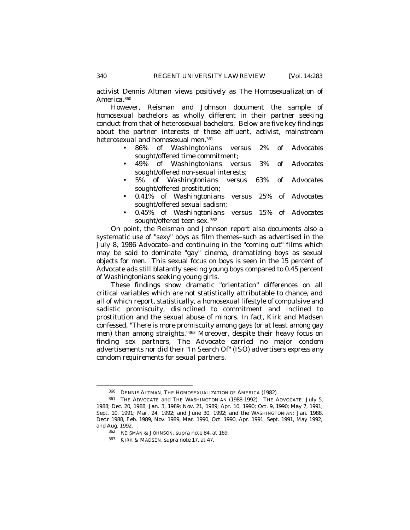activist Dennis Altman views positively as *The Homosexualization of America*. 360

However, Reisman and Johnson document the sample of homosexual bachelors as wholly different in their partner seeking conduct from that of heterosexual bachelors. Below are five key findings about the partner interests of these affluent, activist, mainstream heterosexual and homosexual men.<sup>361</sup>

- 86% of *Washingtonians* versus 2% of *Advocates* sought/offered time commitment;
- 49% of *Washingtonians* versus 3% of *Advocates* sought/offered non-sexual interests;
- 5% of *Washingtonians* versus 63% of *Advocates* sought/offered prostitution;
- 0.41% of *Washingtonians* versus 25% of *Advocates* sought/offered sexual sadism;
- 0.45% of *Washingtonians* versus 15% of *Advocates* sought/offered teen sex. <sup>362</sup>

On point, the Reisman and Johnson report also documents also a systematic use of "sexy" boys as film themes–such as advertised in the July 8, 1986 *Advocate*--and continuing in the "coming out" films which may be said to dominate "gay" cinema, dramatizing boys as sexual objects for men. This sexual focus on boys is seen in the 15 percent of Advocate ads still blatantly seeking young boys compared to 0.45 percent of Washingtonians seeking young girls.

These findings show dramatic "orientation" differences on all critical variables which are not statistically attributable to chance, and all of which report, *statistically*, a homosexual lifestyle of compulsive and sadistic promiscuity, disinclined to commitment and inclined to prostitution and the sexual abuse of minors. In fact, Kirk and Madsen confessed, "There is more promiscuity among gays (or at least among gay men) than among straights."363 Moreover, despite their heavy focus on finding sex partners, *The Advocate carried no major condom advertisements nor did their "In Search Of" (ISO) advertisers express any condom requirements for sexual partners.*

<sup>360</sup> DENNIS ALTMAN, THE HOMOSEXUALIZATION OF AMERICA (1982).

<sup>361</sup> THE ADVOCATE and THE WASHINGTONIAN (1988-1992). THE ADVOCATE: July 5, 1988; Dec. 20, 1988; Jan. 3, 1989; Nov. 21, 1989; Apr. 10, 1990; Oct. 9, 1990; May 7, 1991; Sept. 10, 1991; Mar. 24, 1992; and June 30, 1992; and the WASHINGTONIAN: Jan. 1988, Dec.r 1988, Feb. 1989, Nov. 1989, Mar. 1990, Oct. 1990, Apr. 1991, Sept. 1991, May 1992, and Aug. 1992.

<sup>362</sup> REISMAN & JOHNSON, s*upra* note 84*,* at 169.

<sup>363</sup> KIRK & MADSEN, *supra* note 17, at 47.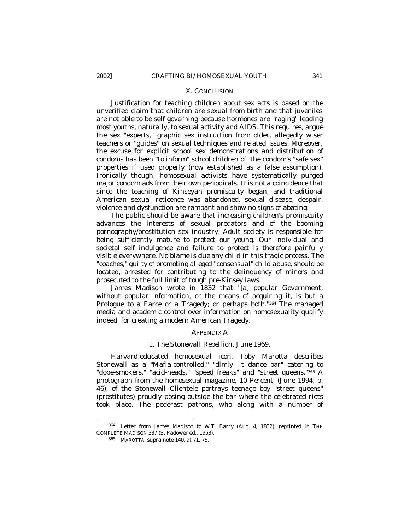#### X. CONCLUSION

Justification for teaching children about sex acts is based on the unverified claim that children are sexual from birth and that juveniles are not able to be self governing because hormones are "raging" leading most youths, naturally, to sexual activity and AIDS. This requires, argue the sex "experts," graphic sex instruction from older, allegedly wiser teachers or "guides" on sexual techniques and related issues. Moreover, the excuse for explicit school sex demonstrations and distribution of condoms has been "to inform" school children of the condom's "safe sex" properties if used properly (now established as a false assumption). Ironically though, homosexual activists have systematically purged major condom ads from their own periodicals. It is not a coincidence that since the teaching of Kinseyan promiscuity began, and traditional American sexual reticence was abandoned, sexual disease, despair, violence and dysfunction are rampant and show no signs of abating.

The public should be aware that increasing children's promiscuity advances the interests of sexual predators and of the booming pornography/prostitution sex industry. Adult society is responsible for being sufficiently mature to protect our young. Our individual and societal self indulgence and failure to protect is therefore painfully visible everywhere. *No blame is due any child in this tragic process. The "coaches," guilty of promoting alleged "consensual" child abuse*, should be located, arrested for contributing to the delinquency of minors and prosecuted to the full limit of tough pre-Kinsey laws.

James Madison wrote in 1832 that "[a] popular Government, without popular information, or the means of acquiring it, is but a Prologue to a Farce or a Tragedy; or perhaps both."364 The managed media and academic control over information on homosexuality qualify indeed for creating a modern American Tragedy.

# APPENDIX A

#### *1. The Stonewall Rebellion, June 1969.*

Harvard-educated homosexual icon, Toby Marotta describes Stonewall as a "Mafia-controlled," "dimly lit dance bar" catering to "dope-smokers," "acid-heads," "speed freaks" and "street queens."<sup>365</sup> A photograph from the homosexual magazine, *10 Percent,* (June 1994, p. 46), of the Stonewall Clientele portrays teenage boy "street queens" (prostitutes) proudly posing outside the bar where the celebrated riots took place. The pederast patrons, who along with a number of

<sup>364</sup> Letter from James Madison to W.T. Barry (Aug. 4, 1832), *reprinted in* THE COMPLETE MADISON 337 (S. Padower ed., 1953).

<sup>365</sup> MAROTTA, *supra* note 140, at 71, 75.